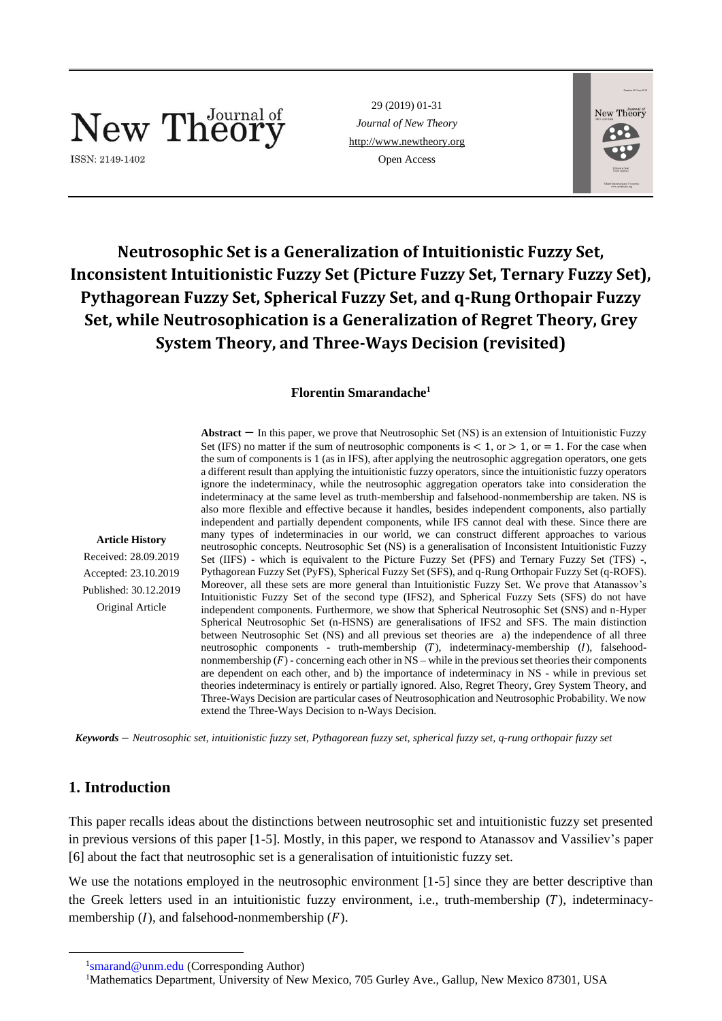# New Theory

ISSN: 2149-1402

29 (2019) 01-31 *Journal of New Theory* [http://www.newtheory.org](http://www.newtheory.org/) Open Access



## **Neutrosophic Set is a Generalization of Intuitionistic Fuzzy Set, Inconsistent Intuitionistic Fuzzy Set (Picture Fuzzy Set, Ternary Fuzzy Set), Pythagorean Fuzzy Set, Spherical Fuzzy Set, and q-Rung Orthopair Fuzzy Set, while Neutrosophication is a Generalization of Regret Theory, Grey System Theory, and Three-Ways Decision (revisited)**

## **Florentin Smarandache<sup>1</sup>**

**Abstract** − In this paper, we prove that Neutrosophic Set (NS) is an extension of Intuitionistic Fuzzy Set (IFS) no matter if the sum of neutrosophic components is  $< 1$ , or  $> 1$ , or  $= 1$ . For the case when the sum of components is 1 (as in IFS), after applying the neutrosophic aggregation operators, one gets a different result than applying the intuitionistic fuzzy operators, since the intuitionistic fuzzy operators ignore the indeterminacy, while the neutrosophic aggregation operators take into consideration the indeterminacy at the same level as truth-membership and falsehood-nonmembership are taken. NS is also more flexible and effective because it handles, besides independent components, also partially independent and partially dependent components, while IFS cannot deal with these. Since there are many types of indeterminacies in our world, we can construct different approaches to various neutrosophic concepts. Neutrosophic Set (NS) is a generalisation of Inconsistent Intuitionistic Fuzzy Set (IIFS) - which is equivalent to the Picture Fuzzy Set (PFS) and Ternary Fuzzy Set (TFS) -, Pythagorean Fuzzy Set (PyFS), Spherical Fuzzy Set (SFS), and q-Rung Orthopair Fuzzy Set (q-ROFS). Moreover, all these sets are more general than Intuitionistic Fuzzy Set. We prove that Atanassov's Intuitionistic Fuzzy Set of the second type (IFS2), and Spherical Fuzzy Sets (SFS) do not have independent components. Furthermore, we show that Spherical Neutrosophic Set (SNS) and n-Hyper Spherical Neutrosophic Set (n-HSNS) are generalisations of IFS2 and SFS. The main distinction between Neutrosophic Set (NS) and all previous set theories are a) the independence of all three neutrosophic components - truth-membership  $(T)$ , indeterminacy-membership  $(I)$ , falsehoodnonmembership  $(F)$  - concerning each other in NS – while in the previous set theories their components are dependent on each other, and b) the importance of indeterminacy in NS - while in previous set theories indeterminacy is entirely or partially ignored. Also, Regret Theory, Grey System Theory, and Three-Ways Decision are particular cases of Neutrosophication and Neutrosophic Probability. We now extend the Three-Ways Decision to n-Ways Decision.

*Keywords* − *Neutrosophic set, intuitionistic fuzzy set, Pythagorean fuzzy set, spherical fuzzy set, q-rung orthopair fuzzy set*

## **1. Introduction**

This paper recalls ideas about the distinctions between neutrosophic set and intuitionistic fuzzy set presented in previous versions of this paper [1-5]. Mostly, in this paper, we respond to Atanassov and Vassiliev's paper [6] about the fact that neutrosophic set is a generalisation of intuitionistic fuzzy set.

We use the notations employed in the neutrosophic environment [1-5] since they are better descriptive than the Greek letters used in an intuitionistic fuzzy environment, i.e., truth-membership  $(T)$ , indeterminacymembership  $(I)$ , and falsehood-nonmembership  $(F)$ .

**Article History** Received: 28.09.2019 Accepted: 23.10.2019 Published: 30.12.2019 Original Article

<sup>&</sup>lt;sup>1</sup>[smarand@unm.edu](mailto:smarand@unm.edu) (Corresponding Author)

<sup>&</sup>lt;sup>1</sup>Mathematics Department, University of New Mexico, 705 Gurley Ave., Gallup, New Mexico 87301, USA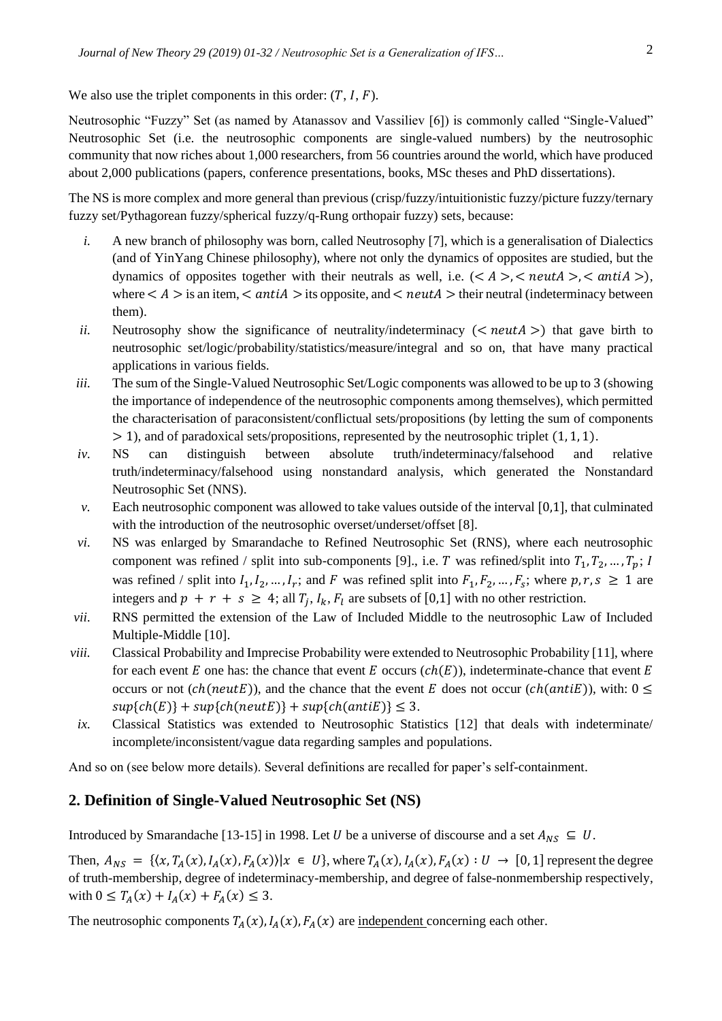We also use the triplet components in this order:  $(T, I, F)$ .

Neutrosophic "Fuzzy" Set (as named by Atanassov and Vassiliev [6]) is commonly called "Single-Valued" Neutrosophic Set (i.e. the neutrosophic components are single-valued numbers) by the neutrosophic community that now riches about 1,000 researchers, from 56 countries around the world, which have produced about 2,000 publications (papers, conference presentations, books, MSc theses and PhD dissertations).

The NS is more complex and more general than previous (crisp/fuzzy/intuitionistic fuzzy/picture fuzzy/ternary fuzzy set/Pythagorean fuzzy/spherical fuzzy/q-Rung orthopair fuzzy) sets, because:

- *i.* A new branch of philosophy was born, called Neutrosophy [7], which is a generalisation of Dialectics (and of YinYang Chinese philosophy), where not only the dynamics of opposites are studied, but the dynamics of opposites together with their neutrals as well, i.e.  $(<\&A$  >  $,$   $<$  neut $A$  >,  $<$  anti $A$  >), where  $\lt A > i$  is an item,  $\lt antiA > i$ ts opposite, and  $\lt n$  eut $A > i$  their neutral (indeterminacy between them).
- *ii.* Neutrosophy show the significance of neutrality/indeterminacy ( $\langle$  neut $A \rangle$ ) that gave birth to neutrosophic set/logic/probability/statistics/measure/integral and so on, that have many practical applications in various fields.
- *iii.* The sum of the Single-Valued Neutrosophic Set/Logic components was allowed to be up to 3 (showing the importance of independence of the neutrosophic components among themselves), which permitted the characterisation of paraconsistent/conflictual sets/propositions (by letting the sum of components  $> 1$ ), and of paradoxical sets/propositions, represented by the neutrosophic triplet (1, 1, 1).
- *iv.* NS can distinguish between absolute truth/indeterminacy/falsehood and relative truth/indeterminacy/falsehood using nonstandard analysis, which generated the Nonstandard Neutrosophic Set (NNS).
- *v.* Each neutrosophic component was allowed to take values outside of the interval [0,1], that culminated with the introduction of the neutrosophic overset/underset/offset [8].
- *vi.* NS was enlarged by Smarandache to Refined Neutrosophic Set (RNS), where each neutrosophic component was refined / split into sub-components [9]., i.e. T was refined/split into  $T_1, T_2, ..., T_p$ ; I was refined / split into  $I_1, I_2, ..., I_r$ ; and F was refined split into  $F_1, F_2, ..., F_s$ ; where  $p, r, s \ge 1$  are integers and  $p + r + s \ge 4$ ; all  $T_j$ ,  $I_k$ ,  $F_l$  are subsets of [0,1] with no other restriction.
- *vii.* RNS permitted the extension of the Law of Included Middle to the neutrosophic Law of Included Multiple-Middle [10].
- *viii.* Classical Probability and Imprecise Probability were extended to Neutrosophic Probability [11], where for each event E one has: the chance that event E occurs  $(ch(E))$ , indeterminate-chance that event E occurs or not (ch(neutE)), and the chance that the event E does not occur (ch(antiE)), with:  $0 \le$  $sup{ch(E)} + sup{ch(newE)} + sup{ch(antiE)} \leq 3.$
- *ix.* Classical Statistics was extended to Neutrosophic Statistics [12] that deals with indeterminate/ incomplete/inconsistent/vague data regarding samples and populations.

And so on (see below more details). Several definitions are recalled for paper's self-containment.

## **2. Definition of Single-Valued Neutrosophic Set (NS)**

Introduced by Smarandache [13-15] in 1998. Let U be a universe of discourse and a set  $A_{NS} \subseteq U$ .

Then,  $A_{NS} = \{ \langle x, T_A(x), I_A(x), F_A(x) \rangle | x \in U \}$ , where  $T_A(x), I_A(x), F_A(x) : U \rightarrow [0, 1]$  represent the degree of truth-membership, degree of indeterminacy-membership, and degree of false-nonmembership respectively, with  $0 \leq T_A(x) + I_A(x) + F_A(x) \leq 3$ .

The neutrosophic components  $T_A(x)$ ,  $I_A(x)$ ,  $F_A(x)$  are independent concerning each other.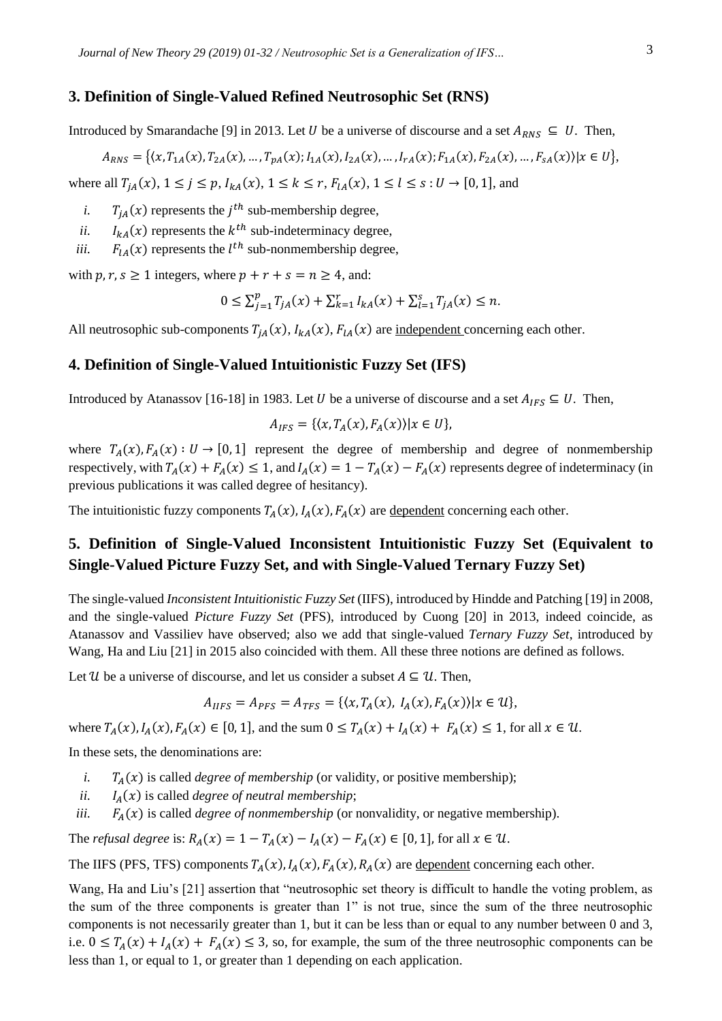## **3. Definition of Single-Valued Refined Neutrosophic Set (RNS)**

Introduced by Smarandache [9] in 2013. Let U be a universe of discourse and a set  $A_{RNS} \subseteq U$ . Then,

$$
A_{RNS} = \{ (x, T_{1A}(x), T_{2A}(x), \dots, T_{pA}(x); I_{1A}(x), I_{2A}(x), \dots, I_{rA}(x); F_{1A}(x), F_{2A}(x), \dots, F_{SA}(x)) | x \in U \},
$$

where all  $T_{iA}(x), 1 \leq j \leq p$ ,  $I_{kA}(x), 1 \leq k \leq r$ ,  $F_{iA}(x), 1 \leq l \leq s : U \rightarrow [0, 1]$ , and

- *i.*  $T_{jA}(x)$  represents the *j*<sup>th</sup> sub-membership degree,
- *ii.*  $I_{kA}(x)$  represents the  $k^{th}$  sub-indeterminacy degree,
- *iii.*  $F_{lA}(x)$  represents the  $l^{th}$  sub-nonmembership degree,

with  $p, r, s \ge 1$  integers, where  $p + r + s = n \ge 4$ , and:

$$
0 \le \sum_{j=1}^p T_{jA}(x) + \sum_{k=1}^r I_{kA}(x) + \sum_{l=1}^s T_{jA}(x) \le n.
$$

All neutrosophic sub-components  $T_{iA}(x)$ ,  $I_{kA}(x)$ ,  $F_{iA}(x)$  are <u>independent</u> concerning each other.

## **4. Definition of Single-Valued Intuitionistic Fuzzy Set (IFS)**

Introduced by Atanassov [16-18] in 1983. Let *U* be a universe of discourse and a set  $A_{IFS} \subseteq U$ . Then,

$$
A_{IFS} = \{ \langle x, T_A(x), F_A(x) \rangle | x \in U \},
$$

where  $T_A(x)$ ,  $F_A(x)$ :  $U \rightarrow [0, 1]$  represent the degree of membership and degree of nonmembership respectively, with  $T_A(x) + F_A(x) \le 1$ , and  $I_A(x) = 1 - T_A(x) - F_A(x)$  represents degree of indeterminacy (in previous publications it was called degree of hesitancy).

The intuitionistic fuzzy components  $T_A(x)$ ,  $I_A(x)$ ,  $F_A(x)$  are dependent concerning each other.

## **5. Definition of Single-Valued Inconsistent Intuitionistic Fuzzy Set (Equivalent to Single-Valued Picture Fuzzy Set, and with Single-Valued Ternary Fuzzy Set)**

The single-valued *Inconsistent Intuitionistic Fuzzy Set* (IIFS), introduced by Hindde and Patching [19] in 2008, and the single-valued *Picture Fuzzy Set* (PFS), introduced by Cuong [20] in 2013, indeed coincide, as Atanassov and Vassiliev have observed; also we add that single-valued *Ternary Fuzzy Set*, introduced by Wang, Ha and Liu [21] in 2015 also coincided with them. All these three notions are defined as follows.

Let U be a universe of discourse, and let us consider a subset  $A \subseteq U$ . Then,

$$
A_{IIFS} = A_{PFS} = A_{TFS} = \{ \langle x, T_A(x), I_A(x), F_A(x) \rangle | x \in U \},
$$

where  $T_A(x)$ ,  $I_A(x)$ ,  $F_A(x) \in [0, 1]$ , and the sum  $0 \le T_A(x) + I_A(x) + F_A(x) \le 1$ , for all  $x \in \mathcal{U}$ .

In these sets, the denominations are:

- *i.*  $T_A(x)$  is called *degree of membership* (or validity, or positive membership);
- *ii.*  $I_A(x)$  is called *degree of neutral membership*;
- *iii.*  $F_A(x)$  is called *degree of nonmembership* (or nonvalidity, or negative membership).

The *refusal degree* is:  $R_A(x) = 1 - T_A(x) - I_A(x) - F_A(x) \in [0, 1]$ , for all  $x \in \mathcal{U}$ .

The IIFS (PFS, TFS) components  $T_A(x)$ ,  $I_A(x)$ ,  $F_A(x)$ ,  $R_A(x)$  are dependent concerning each other.

Wang, Ha and Liu's [21] assertion that "neutrosophic set theory is difficult to handle the voting problem, as the sum of the three components is greater than 1" is not true, since the sum of the three neutrosophic components is not necessarily greater than 1, but it can be less than or equal to any number between 0 and 3, i.e.  $0 \leq T_A(x) + I_A(x) + F_A(x) \leq 3$ , so, for example, the sum of the three neutrosophic components can be less than 1, or equal to 1, or greater than 1 depending on each application.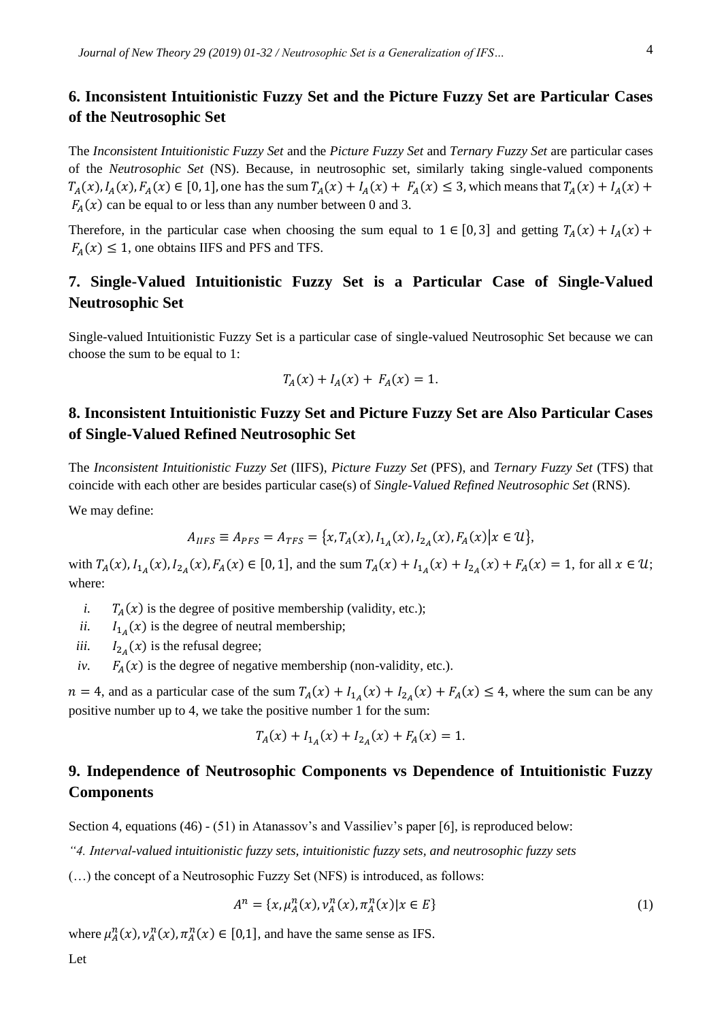## **6. Inconsistent Intuitionistic Fuzzy Set and the Picture Fuzzy Set are Particular Cases of the Neutrosophic Set**

The *Inconsistent Intuitionistic Fuzzy Set* and the *Picture Fuzzy Set* and *Ternary Fuzzy Set* are particular cases of the *Neutrosophic Set* (NS). Because, in neutrosophic set, similarly taking single-valued components  $T_A(x)$ ,  $I_A(x)$ ,  $F_A(x) \in [0, 1]$ , one has the sum  $T_A(x) + I_A(x) + F_A(x) \le 3$ , which means that  $T_A(x) + I_A(x) +$  $F_A(x)$  can be equal to or less than any number between 0 and 3.

Therefore, in the particular case when choosing the sum equal to  $1 \in [0, 3]$  and getting  $T_A(x) + I_A(x) +$  $F_A(x) \leq 1$ , one obtains IIFS and PFS and TFS.

## **7. Single-Valued Intuitionistic Fuzzy Set is a Particular Case of Single-Valued Neutrosophic Set**

Single-valued Intuitionistic Fuzzy Set is a particular case of single-valued Neutrosophic Set because we can choose the sum to be equal to 1:

$$
T_A(x) + I_A(x) + F_A(x) = 1.
$$

## **8. Inconsistent Intuitionistic Fuzzy Set and Picture Fuzzy Set are Also Particular Cases of Single-Valued Refined Neutrosophic Set**

The *Inconsistent Intuitionistic Fuzzy Set* (IIFS), *Picture Fuzzy Set* (PFS), and *Ternary Fuzzy Set* (TFS) that coincide with each other are besides particular case(s) of *Single-Valued Refined Neutrosophic Set* (RNS).

We may define:

$$
A_{IIFS} \equiv A_{PFS} = A_{TFS} = \{x, T_A(x), I_{1_A}(x), I_{2_A}(x), F_A(x) | x \in U\},\
$$

with  $T_A(x)$ ,  $I_{1_A}(x)$ ,  $I_{2_A}(x)$ ,  $F_A(x) \in [0, 1]$ , and the sum  $T_A(x) + I_{1_A}(x) + I_{2_A}(x) + F_A(x) = 1$ , for all  $x \in \mathcal{U}$ ; where:

- *i.*  $T_A(x)$  is the degree of positive membership (validity, etc.);
- ii.  $I_{1_A}(x)$  is the degree of neutral membership;
- *iii.*  $I_{2_A}(x)$  is the refusal degree;
- *iv.*  $F_A(x)$  is the degree of negative membership (non-validity, etc.).

 $n = 4$ , and as a particular case of the sum  $T_A(x) + I_{1_A}(x) + I_{2_A}(x) + F_A(x) \le 4$ , where the sum can be any positive number up to 4, we take the positive number 1 for the sum:

$$
T_A(x) + I_{1_A}(x) + I_{2_A}(x) + F_A(x) = 1.
$$

## **9. Independence of Neutrosophic Components vs Dependence of Intuitionistic Fuzzy Components**

Section 4, equations (46) - (51) in Atanassov's and Vassiliev's paper [6], is reproduced below:

*"4. Interval-valued intuitionistic fuzzy sets, intuitionistic fuzzy sets, and neutrosophic fuzzy sets*

(…) the concept of a Neutrosophic Fuzzy Set (NFS) is introduced, as follows:

$$
A^{n} = \{x, \mu_{A}^{n}(x), \nu_{A}^{n}(x), \pi_{A}^{n}(x) | x \in E\}
$$
\n(1)

where  $\mu_A^n(x)$ ,  $\nu_A^n(x)$ ,  $\pi_A^n(x) \in [0,1]$ , and have the same sense as IFS.

Let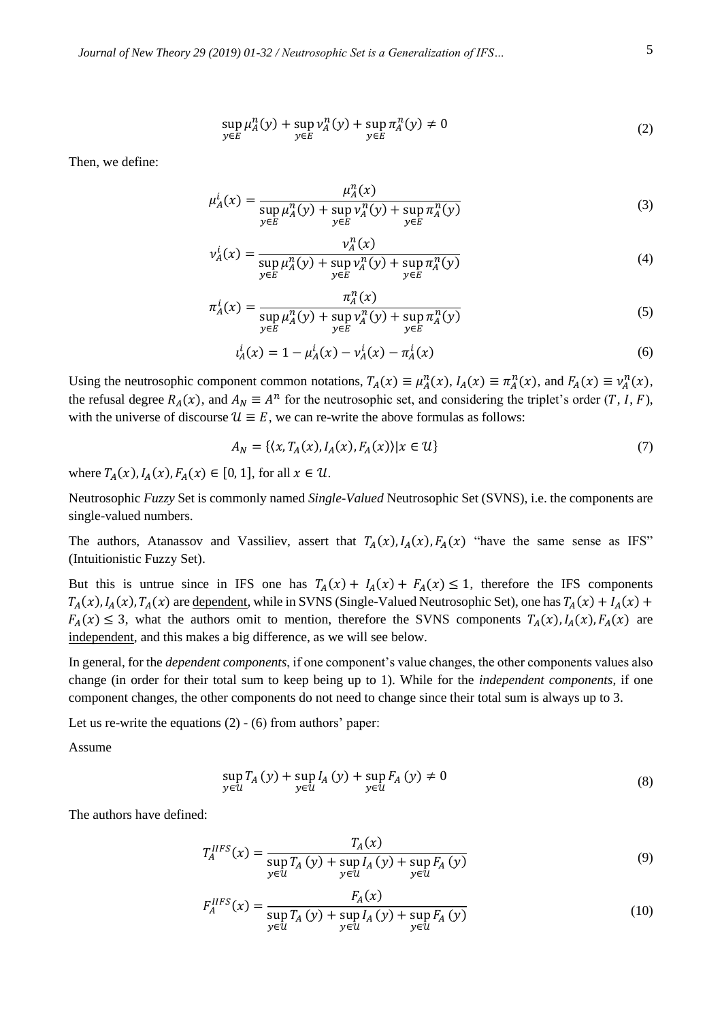*Journal of New Theory 29 (2019) 01-32 / Neutrosophic Set is a Generalization of IFS…* 5

$$
\sup_{y \in E} \mu_A^n(y) + \sup_{y \in E} \nu_A^n(y) + \sup_{y \in E} \pi_A^n(y) \neq 0
$$
\n(2)

Then, we define:

$$
\mu_A^i(x) = \frac{\mu_A^n(x)}{\sup_{y \in E} \mu_A^n(y) + \sup_{y \in E} \nu_A^n(y) + \sup_{y \in E} \pi_A^n(y)}
$$
(3)

$$
\nu_A^i(x) = \frac{\nu_A^n(x)}{\sup_{y \in E} \mu_A^n(y) + \sup_{y \in E} \nu_A^n(y) + \sup_{y \in E} \pi_A^n(y)}
$$
(4)

$$
\pi_A^i(x) = \frac{\pi_A^n(x)}{\sup_{y \in E} \mu_A^n(y) + \sup_{y \in E} \nu_A^n(y) + \sup_{y \in E} \pi_A^n(y)}
$$
(5)

$$
i_A^i(x) = 1 - \mu_A^i(x) - \nu_A^i(x) - \pi_A^i(x) \tag{6}
$$

Using the neutrosophic component common notations,  $T_A(x) \equiv \mu_A^n(x)$ ,  $I_A(x) \equiv \pi_A^n(x)$ , and  $F_A(x) \equiv \nu_A^n(x)$ , the refusal degree  $R_A(x)$ , and  $A_N \equiv A^n$  for the neutrosophic set, and considering the triplet's order  $(T, I, F)$ , with the universe of discourse  $\mathcal{U} \equiv E$ , we can re-write the above formulas as follows:

$$
A_N = \{ (x, T_A(x), I_A(x), F_A(x)) | x \in U \}
$$
\n(7)

where  $T_A(x)$ ,  $I_A(x)$ ,  $F_A(x) \in [0, 1]$ , for all  $x \in \mathcal{U}$ .

Neutrosophic *Fuzzy* Set is commonly named *Single-Valued* Neutrosophic Set (SVNS), i.e. the components are single-valued numbers.

The authors, Atanassov and Vassiliev, assert that  $T_A(x)$ ,  $I_A(x)$ ,  $F_A(x)$  "have the same sense as IFS" (Intuitionistic Fuzzy Set).

But this is untrue since in IFS one has  $T_A(x) + I_A(x) + F_A(x) \le 1$ , therefore the IFS components  $T_A(x)$ ,  $I_A(x)$ ,  $T_A(x)$  are dependent, while in SVNS (Single-Valued Neutrosophic Set), one has  $T_A(x) + I_A(x) +$  $F_A(x) \leq 3$ , what the authors omit to mention, therefore the SVNS components  $T_A(x)$ ,  $I_A(x)$ ,  $F_A(x)$  are independent, and this makes a big difference, as we will see below.

In general, for the *dependent components*, if one component's value changes, the other components values also change (in order for their total sum to keep being up to 1). While for the *independent components*, if one component changes, the other components do not need to change since their total sum is always up to 3.

Let us re-write the equations (2) - (6) from authors' paper:

Assume

$$
\sup_{y \in \mathcal{U}} T_A(y) + \sup_{y \in \mathcal{U}} I_A(y) + \sup_{y \in \mathcal{U}} F_A(y) \neq 0
$$
\n(8)

The authors have defined:

$$
T_A^{IIFS}(x) = \frac{T_A(x)}{\sup_{y \in \mathcal{U}} T_A(y) + \sup_{y \in \mathcal{U}} I_A(y) + \sup_{y \in \mathcal{U}} F_A(y)}
$$
(9)

$$
F_A^{IIFS}(x) = \frac{F_A(x)}{\sup_{y \in \mathcal{U}} T_A(y) + \sup_{y \in \mathcal{U}} I_A(y) + \sup_{y \in \mathcal{U}} F_A(y)}
$$
(10)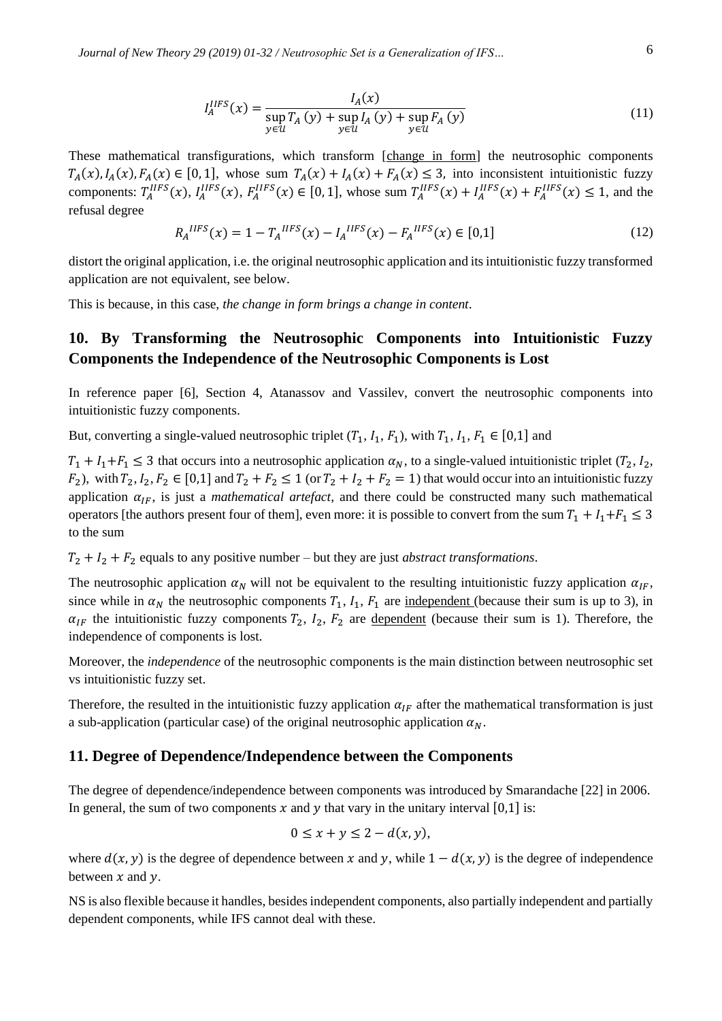$$
I_A^{IIFS}(x) = \frac{I_A(x)}{\sup_{y \in \mathcal{U}} T_A(y) + \sup_{y \in \mathcal{U}} I_A(y) + \sup_{y \in \mathcal{U}} F_A(y)}
$$
(11)

These mathematical transfigurations, which transform [change in form] the neutrosophic components  $T_A(x)$ ,  $I_A(x)$ ,  $F_A(x) \in [0, 1]$ , whose sum  $T_A(x) + I_A(x) + F_A(x) \leq 3$ , into inconsistent intuitionistic fuzzy components:  $T_A^{IIFS}(x)$ ,  $I_A^{IIFS}(x)$ ,  $F_A^{IIFS}(x) \in [0,1]$ , whose sum  $T_A^{IIFS}(x) + I_A^{IIFS}(x) + F_A^{IIFS}(x) \le 1$ , and the refusal degree

$$
R_A^{IIFS}(x) = 1 - T_A^{IIFS}(x) - I_A^{IIFS}(x) - F_A^{IIFS}(x) \in [0,1]
$$
\n(12)

distort the original application, i.e. the original neutrosophic application and its intuitionistic fuzzy transformed application are not equivalent, see below.

This is because, in this case, *the change in form brings a change in content*.

## **10. By Transforming the Neutrosophic Components into Intuitionistic Fuzzy Components the Independence of the Neutrosophic Components is Lost**

In reference paper [6], Section 4, Atanassov and Vassilev, convert the neutrosophic components into intuitionistic fuzzy components.

But, converting a single-valued neutrosophic triplet  $(T_1, I_1, F_1)$ , with  $T_1, I_1, F_1 \in [0,1]$  and

 $T_1 + I_1 + F_1 \leq 3$  that occurs into a neutrosophic application  $\alpha_N$ , to a single-valued intuitionistic triplet  $(T_2, I_2, I_3)$  $F_2$ ), with  $T_2$ ,  $I_2$ ,  $F_2 \in [0,1]$  and  $T_2 + F_2 \le 1$  (or  $T_2 + I_2 + F_2 = 1$ ) that would occur into an intuitionistic fuzzy application  $\alpha_{IF}$ , is just a *mathematical artefact*, and there could be constructed many such mathematical operators [the authors present four of them], even more: it is possible to convert from the sum  $T_1 + I_1 + F_1 \leq 3$ to the sum

 $T_2 + I_2 + F_2$  equals to any positive number – but they are just *abstract transformations*.

The neutrosophic application  $\alpha_N$  will not be equivalent to the resulting intuitionistic fuzzy application  $\alpha_{IF}$ , since while in  $\alpha_N$  the neutrosophic components  $T_1$ ,  $I_1$ ,  $F_1$  are <u>independent</u> (because their sum is up to 3), in  $\alpha_{IF}$  the intuitionistic fuzzy components  $T_2$ ,  $I_2$ ,  $F_2$  are dependent (because their sum is 1). Therefore, the independence of components is lost.

Moreover, the *independence* of the neutrosophic components is the main distinction between neutrosophic set vs intuitionistic fuzzy set.

Therefore, the resulted in the intuitionistic fuzzy application  $\alpha_{IF}$  after the mathematical transformation is just a sub-application (particular case) of the original neutrosophic application  $\alpha_N$ .

## **11. Degree of Dependence/Independence between the Components**

The degree of dependence/independence between components was introduced by Smarandache [22] in 2006. In general, the sum of two components  $x$  and  $y$  that vary in the unitary interval [0,1] is:

$$
0 \le x + y \le 2 - d(x, y),
$$

where  $d(x, y)$  is the degree of dependence between x and y, while  $1 - d(x, y)$  is the degree of independence between  $x$  and  $y$ .

NS is also flexible because it handles, besides independent components, also partially independent and partially dependent components, while IFS cannot deal with these.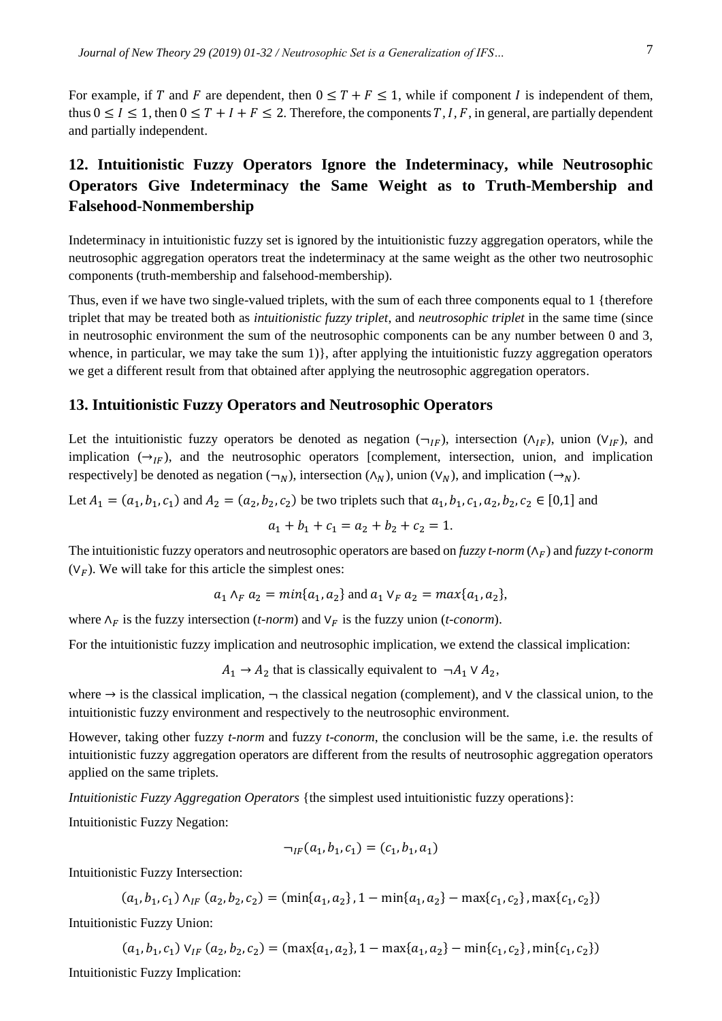For example, if T and F are dependent, then  $0 \le T + F \le 1$ , while if component I is independent of them, thus  $0 \le I \le 1$ , then  $0 \le T + I + F \le 2$ . Therefore, the components *T*, *I*, *F*, in general, are partially dependent and partially independent.

## **12. Intuitionistic Fuzzy Operators Ignore the Indeterminacy, while Neutrosophic Operators Give Indeterminacy the Same Weight as to Truth-Membership and Falsehood-Nonmembership**

Indeterminacy in intuitionistic fuzzy set is ignored by the intuitionistic fuzzy aggregation operators, while the neutrosophic aggregation operators treat the indeterminacy at the same weight as the other two neutrosophic components (truth-membership and falsehood-membership).

Thus, even if we have two single-valued triplets, with the sum of each three components equal to 1 {therefore triplet that may be treated both as *intuitionistic fuzzy triplet*, and *neutrosophic triplet* in the same time (since in neutrosophic environment the sum of the neutrosophic components can be any number between 0 and 3, whence, in particular, we may take the sum  $1)$ , after applying the intuitionistic fuzzy aggregation operators we get a different result from that obtained after applying the neutrosophic aggregation operators.

## **13. Intuitionistic Fuzzy Operators and Neutrosophic Operators**

Let the intuitionistic fuzzy operators be denoted as negation ( $\neg_{IF}$ ), intersection ( $\land_{IF}$ ), union ( $V_{IF}$ ), and implication  $(\rightarrow_{IF})$ , and the neutrosophic operators [complement, intersection, union, and implication respectively] be denoted as negation ( $\neg_N$ ), intersection ( $\land_N$ ), union ( $V_N$ ), and implication ( $\neg_N$ ).

Let  $A_1 = (a_1, b_1, c_1)$  and  $A_2 = (a_2, b_2, c_2)$  be two triplets such that  $a_1, b_1, c_1, a_2, b_2, c_2 \in [0,1]$  and

$$
a_1 + b_1 + c_1 = a_2 + b_2 + c_2 = 1.
$$

The intuitionistic fuzzy operators and neutrosophic operators are based on *fuzzy t-norm* ( $\Lambda_F$ ) and *fuzzy t-conorm*  $(V<sub>F</sub>)$ . We will take for this article the simplest ones:

$$
a_1 \wedge_F a_2 = min\{a_1, a_2\}
$$
 and  $a_1 \vee_F a_2 = max\{a_1, a_2\}$ ,

where  $\Lambda_F$  is the fuzzy intersection (*t-norm*) and  $V_F$  is the fuzzy union (*t-conorm*).

For the intuitionistic fuzzy implication and neutrosophic implication, we extend the classical implication:

 $A_1 \rightarrow A_2$  that is classically equivalent to  $\neg A_1 \lor A_2$ ,

where → is the classical implication, ¬ the classical negation (complement), and ∨ the classical union, to the intuitionistic fuzzy environment and respectively to the neutrosophic environment.

However, taking other fuzzy *t-norm* and fuzzy *t-conorm*, the conclusion will be the same, i.e. the results of intuitionistic fuzzy aggregation operators are different from the results of neutrosophic aggregation operators applied on the same triplets.

*Intuitionistic Fuzzy Aggregation Operators* {the simplest used intuitionistic fuzzy operations}:

Intuitionistic Fuzzy Negation:

$$
\neg_{IF}(a_1, b_1, c_1) = (c_1, b_1, a_1)
$$

Intuitionistic Fuzzy Intersection:

$$
(a_1, b_1, c_1) \wedge_{IF} (a_2, b_2, c_2) = (\min\{a_1, a_2\}, 1 - \min\{a_1, a_2\} - \max\{c_1, c_2\}, \max\{c_1, c_2\})
$$

Intuitionistic Fuzzy Union:

$$
(a_1, b_1, c_1) \vee_{IF} (a_2, b_2, c_2) = (\max\{a_1, a_2\}, 1 - \max\{a_1, a_2\} - \min\{c_1, c_2\}, \min\{c_1, c_2\})
$$

Intuitionistic Fuzzy Implication: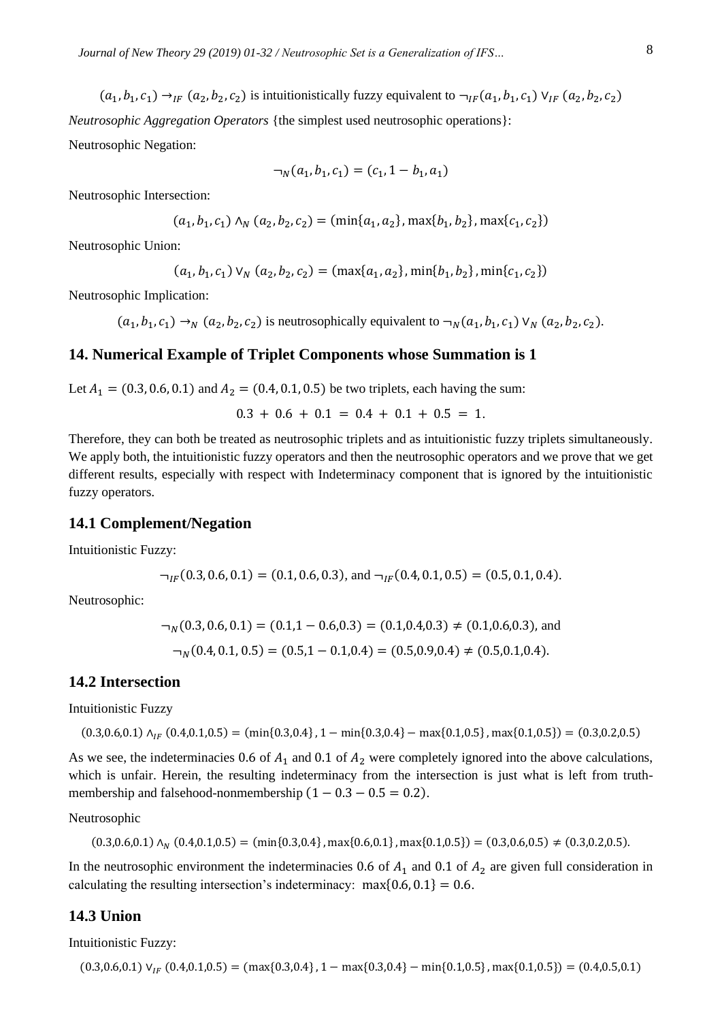$$
(a_1, b_1, c_1) \rightarrow_{IF} (a_2, b_2, c_2)
$$
 is intuitionistically fuzzy equivalent to  $\rightarrow_{IF} (a_1, b_1, c_1) \vee_{IF} (a_2, b_2, c_2)$   
*Neutrosophic Aggregation Operators* {the simplest used neutrosophic operations}:

Neutrosophic Negation:

$$
\neg_N(a_1, b_1, c_1) = (c_1, 1 - b_1, a_1)
$$

Neutrosophic Intersection:

$$
(a_1, b_1, c_1) \land_N (a_2, b_2, c_2) = (\min\{a_1, a_2\}, \max\{b_1, b_2\}, \max\{c_1, c_2\})
$$

Neutrosophic Union:

$$
(a_1, b_1, c_1) \vee_N (a_2, b_2, c_2) = (\max\{a_1, a_2\}, \min\{b_1, b_2\}, \min\{c_1, c_2\})
$$

Neutrosophic Implication:

 $(a_1, b_1, c_1) \rightarrow_N (a_2, b_2, c_2)$  is neutrosophically equivalent to  $\neg_N(a_1, b_1, c_1) \vee_N (a_2, b_2, c_2)$ .

## **14. Numerical Example of Triplet Components whose Summation is 1**

Let  $A_1 = (0.3, 0.6, 0.1)$  and  $A_2 = (0.4, 0.1, 0.5)$  be two triplets, each having the sum:

 $0.3 + 0.6 + 0.1 = 0.4 + 0.1 + 0.5 = 1.$ 

Therefore, they can both be treated as neutrosophic triplets and as intuitionistic fuzzy triplets simultaneously. We apply both, the intuitionistic fuzzy operators and then the neutrosophic operators and we prove that we get different results, especially with respect with Indeterminacy component that is ignored by the intuitionistic fuzzy operators.

#### **14.1 Complement/Negation**

Intuitionistic Fuzzy:

$$
\neg_{IF}(0.3, 0.6, 0.1) = (0.1, 0.6, 0.3)
$$
, and  $\neg_{IF}(0.4, 0.1, 0.5) = (0.5, 0.1, 0.4)$ .

Neutrosophic:

$$
\neg_N(0.3, 0.6, 0.1) = (0.1, 1 - 0.6, 0.3) = (0.1, 0.4, 0.3) \neq (0.1, 0.6, 0.3), \text{ and}
$$

$$
\neg_N(0.4, 0.1, 0.5) = (0.5, 1 - 0.1, 0.4) = (0.5, 0.9, 0.4) \neq (0.5, 0.1, 0.4).
$$

## **14.2 Intersection**

Intuitionistic Fuzzy

$$
(0.3, 0.6, 0.1) \land_{IF} (0.4, 0.1, 0.5) = (\min\{0.3, 0.4\}, 1 - \min\{0.3, 0.4\} - \max\{0.1, 0.5\}, \max\{0.1, 0.5\}) = (0.3, 0.2, 0.5)
$$

As we see, the indeterminacies 0.6 of  $A_1$  and 0.1 of  $A_2$  were completely ignored into the above calculations, which is unfair. Herein, the resulting indeterminacy from the intersection is just what is left from truthmembership and falsehood-nonmembership  $(1 - 0.3 - 0.5 = 0.2)$ .

Neutrosophic

$$
(0.3, 0.6, 0.1) \land_N (0.4, 0.1, 0.5) = (\min\{0.3, 0.4\}, \max\{0.6, 0.1\}, \max\{0.1, 0.5\}) = (0.3, 0.6, 0.5) \neq (0.3, 0.2, 0.5).
$$

In the neutrosophic environment the indeterminacies 0.6 of  $A_1$  and 0.1 of  $A_2$  are given full consideration in calculating the resulting intersection's indeterminacy:  $max\{0.6, 0.1\} = 0.6$ .

#### **14.3 Union**

Intuitionistic Fuzzy:

 $(0.3,0.6,0.1)$   $V_{IF}$   $(0.4,0.1,0.5) = (max{0.3,0.4}, 1 - max{0.3,0.4} - min{0.1,0.5}, max{0.1,0.5}) = (0.4,0.5,0.1)$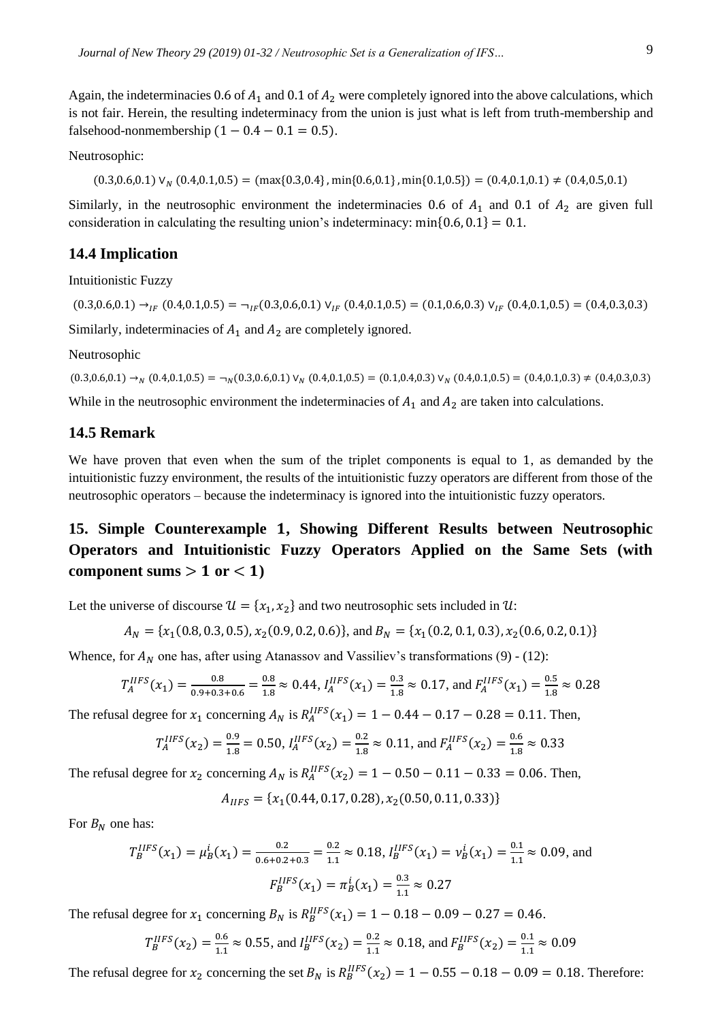Again, the indeterminacies 0.6 of  $A_1$  and 0.1 of  $A_2$  were completely ignored into the above calculations, which is not fair. Herein, the resulting indeterminacy from the union is just what is left from truth-membership and falsehood-nonmembership  $(1 - 0.4 - 0.1 = 0.5)$ .

Neutrosophic:

 $(0.3,0.6,0.1)$   $\vee_N$   $(0.4,0.1,0.5)$  =  $(\max\{0.3,0.4\}, \min\{0.6,0.1\}, \min\{0.1,0.5\})$  =  $(0.4,0.1,0.1) \neq (0.4,0.5,0.1)$ 

Similarly, in the neutrosophic environment the indeterminacies 0.6 of  $A_1$  and 0.1 of  $A_2$  are given full consideration in calculating the resulting union's indeterminacy: min $\{0.6, 0.1\} = 0.1$ .

## **14.4 Implication**

Intuitionistic Fuzzy

 $(0.3,0.6,0.1) \rightarrow_{IF} (0.4,0.1,0.5) = \rightarrow_{IF} (0.3,0.6,0.1) \vee_{IF} (0.4,0.1,0.5) = (0.1,0.6,0.3) \vee_{IF} (0.4,0.1,0.5) = (0.4,0.3,0.3)$ Similarly, indeterminacies of  $A_1$  and  $A_2$  are completely ignored.

Neutrosophic

 $(0.3,0.6,0.1) \rightarrow_N (0.4,0.1,0.5) = \rightarrow_N (0.3,0.6,0.1) \vee_N (0.4,0.1,0.5) = (0.1,0.4,0.3) \vee_N (0.4,0.1,0.5) = (0.4,0.1,0.3) \neq (0.4,0.3,0.3)$ 

While in the neutrosophic environment the indeterminacies of  $A_1$  and  $A_2$  are taken into calculations.

## **14.5 Remark**

We have proven that even when the sum of the triplet components is equal to 1, as demanded by the intuitionistic fuzzy environment, the results of the intuitionistic fuzzy operators are different from those of the neutrosophic operators – because the indeterminacy is ignored into the intuitionistic fuzzy operators.

## **15. Simple Counterexample , Showing Different Results between Neutrosophic Operators and Intuitionistic Fuzzy Operators Applied on the Same Sets (with**  component sums  $> 1$  or  $< 1$ )

Let the universe of discourse  $\mathcal{U} = \{x_1, x_2\}$  and two neutrosophic sets included in  $\mathcal{U}$ :

$$
A_N = \{x_1(0.8, 0.3, 0.5), x_2(0.9, 0.2, 0.6)\}, \text{ and } B_N = \{x_1(0.2, 0.1, 0.3), x_2(0.6, 0.2, 0.1)\}
$$

Whence, for  $A_N$  one has, after using Atanassov and Vassiliev's transformations (9) - (12):

$$
T_A^{IIFS}(x_1) = \frac{0.8}{0.9 + 0.3 + 0.6} = \frac{0.8}{1.8} \approx 0.44, I_A^{IIFS}(x_1) = \frac{0.3}{1.8} \approx 0.17, \text{ and } F_A^{IIFS}(x_1) = \frac{0.5}{1.8} \approx 0.28
$$

The refusal degree for  $x_1$  concerning  $A_N$  is  $R_A^{IIFS}(x_1) = 1 - 0.44 - 0.17 - 0.28 = 0.11$ . Then,

$$
T_A^{IIFS}(x_2) = \frac{0.9}{1.8} = 0.50, I_A^{IIFS}(x_2) = \frac{0.2}{1.8} \approx 0.11, \text{ and } F_A^{IIFS}(x_2) = \frac{0.6}{1.8} \approx 0.33
$$

The refusal degree for  $x_2$  concerning  $A_N$  is  $R_A^{IIFS}(x_2) = 1 - 0.50 - 0.11 - 0.33 = 0.06$ . Then,

$$
A_{IIFS} = \{x_1(0.44, 0.17, 0.28), x_2(0.50, 0.11, 0.33)\}
$$

For  $B_N$  one has:

$$
T_B^{IIFS}(x_1) = \mu_B^i(x_1) = \frac{0.2}{0.6 + 0.2 + 0.3} = \frac{0.2}{1.1} \approx 0.18, I_B^{IIFS}(x_1) = \nu_B^i(x_1) = \frac{0.1}{1.1} \approx 0.09, \text{ and}
$$

$$
F_B^{IIFS}(x_1) = \pi_B^i(x_1) = \frac{0.3}{1.1} \approx 0.27
$$

The refusal degree for  $x_1$  concerning  $B_N$  is  $R_B^{IIFS}(x_1) = 1 - 0.18 - 0.09 - 0.27 = 0.46$ .

$$
T_B^{IIFS}(x_2) = \frac{0.6}{1.1} \approx 0.55
$$
, and  $I_B^{IIFS}(x_2) = \frac{0.2}{1.1} \approx 0.18$ , and  $F_B^{IIFS}(x_2) = \frac{0.1}{1.1} \approx 0.09$ 

The refusal degree for  $x_2$  concerning the set  $B_N$  is  $R_B^{IIFS}(x_2) = 1 - 0.55 - 0.18 - 0.09 = 0.18$ . Therefore: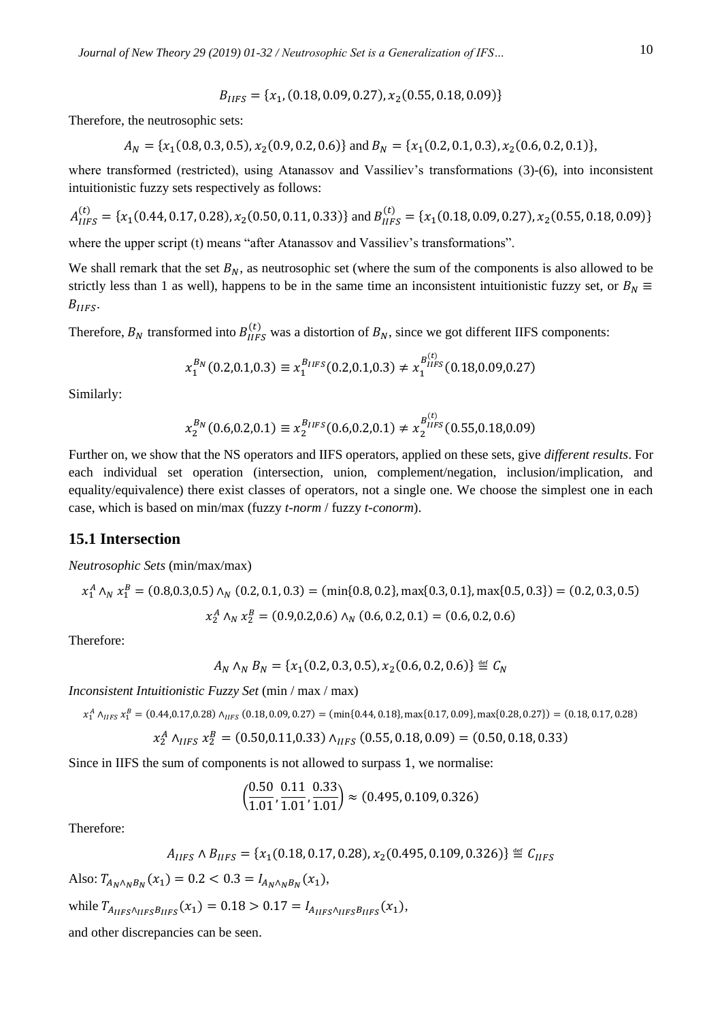$$
B_{IIFS} = \{x_1, (0.18, 0.09, 0.27), x_2(0.55, 0.18, 0.09)\}
$$

Therefore, the neutrosophic sets:

$$
A_N = \{x_1(0.8, 0.3, 0.5), x_2(0.9, 0.2, 0.6)\} \text{ and } B_N = \{x_1(0.2, 0.1, 0.3), x_2(0.6, 0.2, 0.1)\},
$$

where transformed (restricted), using Atanassov and Vassiliev's transformations (3)-(6), into inconsistent intuitionistic fuzzy sets respectively as follows:

$$
A_{IIFS}^{(t)} = \{x_1(0.44, 0.17, 0.28), x_2(0.50, 0.11, 0.33)\} \text{ and } B_{IIFS}^{(t)} = \{x_1(0.18, 0.09, 0.27), x_2(0.55, 0.18, 0.09)\}
$$

where the upper script (t) means "after Atanassov and Vassiliev's transformations".

We shall remark that the set  $B_N$ , as neutrosophic set (where the sum of the components is also allowed to be strictly less than 1 as well), happens to be in the same time an inconsistent intuitionistic fuzzy set, or  $B<sub>N</sub> \equiv$  $B_{IIFS}$ .

Therefore,  $B_N$  transformed into  $B_{IIFS}^{(t)}$  was a distortion of  $B_N$ , since we got different IIFS components:

$$
x_1^{B_N}(0.2, 0.1, 0.3) \equiv x_1^{B_{IIFS}}(0.2, 0.1, 0.3) \neq x_1^{B_{IIFS}^{(t)}}(0.18, 0.09, 0.27)
$$

Similarly:

$$
x_2^{B_N}(0.6, 0.2, 0.1) \equiv x_2^{B_{IIFS}}(0.6, 0.2, 0.1) \neq x_2^{B_{IIFS}^{(t)}}(0.55, 0.18, 0.09)
$$

Further on, we show that the NS operators and IIFS operators, applied on these sets, give *different results*. For each individual set operation (intersection, union, complement/negation, inclusion/implication, and equality/equivalence) there exist classes of operators, not a single one. We choose the simplest one in each case, which is based on min/max (fuzzy *t-norm* / fuzzy *t-conorm*).

## **15.1 Intersection**

*Neutrosophic Sets* (min/max/max)

$$
x_1^A \wedge_N x_1^B = (0.8, 0.3, 0.5) \wedge_N (0.2, 0.1, 0.3) = (\min\{0.8, 0.2\}, \max\{0.3, 0.1\}, \max\{0.5, 0.3\}) = (0.2, 0.3, 0.5)
$$

$$
x_2^A \wedge_N x_2^B = (0.9, 0.2, 0.6) \wedge_N (0.6, 0.2, 0.1) = (0.6, 0.2, 0.6)
$$

Therefore:

$$
A_N \wedge_N B_N = \{x_1(0.2, 0.3, 0.5), x_2(0.6, 0.2, 0.6)\} \stackrel{\text{def}}{=} C_N
$$

*Inconsistent Intuitionistic Fuzzy Set* (min / max / max)

$$
x_1^A \wedge_{HFS} x_1^B = (0.44, 0.17, 0.28) \wedge_{HFS} (0.18, 0.09, 0.27) = (\min\{0.44, 0.18\}, \max\{0.17, 0.09\}, \max\{0.28, 0.27\}) = (0.18, 0.17, 0.28) = 0.18
$$

$$
x_2^A \wedge_{HFS} x_2^B = (0.50, 0.11, 0.33) \wedge_{HFS} (0.55, 0.18, 0.09) = (0.50, 0.18, 0.33)
$$

Since in IIFS the sum of components is not allowed to surpass 1, we normalise:

$$
\left(\frac{0.50}{1.01}, \frac{0.11}{1.01}, \frac{0.33}{1.01}\right) \approx (0.495, 0.109, 0.326)
$$

Therefore:

$$
A_{IIFS} \wedge B_{IIFS} = \{x_1(0.18, 0.17, 0.28), x_2(0.495, 0.109, 0.326)\} \stackrel{\text{def}}{=} C_{IIFS}
$$

Also:  $T_{A_N \wedge_N B_N}(x_1) = 0.2 < 0.3 = I_{A_N \wedge_N B_N}(x_1)$ ,

while 
$$
T_{A_{IIFS} \land_{IIFS} B_{IIFS}}(x_1) = 0.18 > 0.17 = I_{A_{IIFS} \land_{IIFS} B_{IIFS}}(x_1)
$$
,

and other discrepancies can be seen.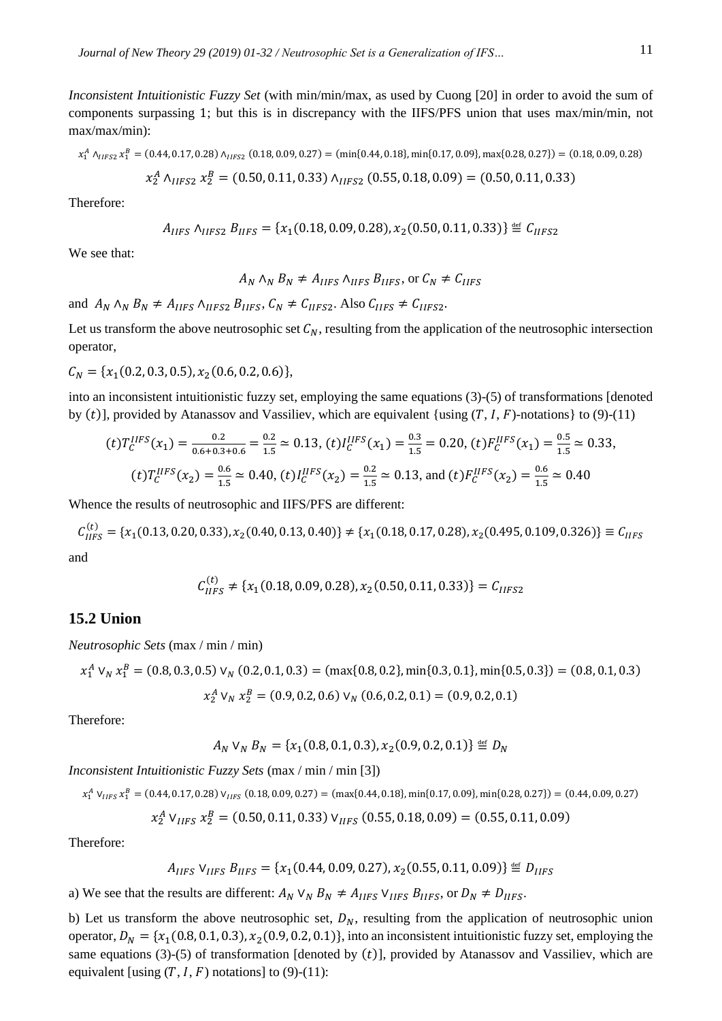*Inconsistent Intuitionistic Fuzzy Set* (with min/min/max, as used by Cuong [20] in order to avoid the sum of components surpassing 1; but this is in discrepancy with the IIFS/PFS union that uses max/min/min, not max/max/min):

$$
x_1^A \wedge_{HFS2} x_1^B = (0.44, 0.17, 0.28) \wedge_{HFS2} (0.18, 0.09, 0.27) = (\min\{0.44, 0.18\}, \min\{0.17, 0.09\}, \max\{0.28, 0.27\}) = (0.18, 0.09, 0.28)
$$

$$
x_2^A \wedge_{IIFS2} x_2^B = (0.50, 0.11, 0.33) \wedge_{IIFS2} (0.55, 0.18, 0.09) = (0.50, 0.11, 0.33)
$$

Therefore:

$$
A_{IIFS} \wedge_{IIFS2} B_{IIFS} = \{x_1(0.18, 0.09, 0.28), x_2(0.50, 0.11, 0.33)\} \stackrel{\text{def}}{=} C_{IIFS2}
$$

We see that:

$$
A_N \wedge_N B_N \neq A_{IIFS} \wedge_{IIFS} B_{IIFS}, \text{or } C_N \neq C_{IIFS}
$$

and  $A_N \wedge_N B_N \neq A_{IIFS} \wedge_{IIFS2} B_{IIFS}, C_N \neq C_{IIFS2}$ . Also  $C_{IIFS} \neq C_{IIFS2}$ .

Let us transform the above neutrosophic set  $C_N$ , resulting from the application of the neutrosophic intersection operator,

 $C_N = \{x_1(0.2, 0.3, 0.5), x_2(0.6, 0.2, 0.6)\},\$ 

into an inconsistent intuitionistic fuzzy set, employing the same equations (3)-(5) of transformations [denoted by (t)], provided by Atanassov and Vassiliev, which are equivalent {using  $(T, I, F)$ -notations} to (9)-(11)

$$
(t)T_C^{IIFS}(x_1) = \frac{0.2}{0.6 + 0.3 + 0.6} = \frac{0.2}{1.5} \approx 0.13, \ (t)I_C^{IIFS}(x_1) = \frac{0.3}{1.5} = 0.20, \ (t)F_C^{IIFS}(x_1) = \frac{0.5}{1.5} \approx 0.33,
$$
\n
$$
(t)T_C^{IIFS}(x_2) = \frac{0.6}{1.5} \approx 0.40, \ (t)I_C^{IIFS}(x_2) = \frac{0.2}{1.5} \approx 0.13, \text{ and } (t)F_C^{IIFS}(x_2) = \frac{0.6}{1.5} \approx 0.40
$$

Whence the results of neutrosophic and IIFS/PFS are different:

 $C_{IIFS}^{(t)} = \{x_1(0.13, 0.20, 0.33), x_2(0.40, 0.13, 0.40)\}\neq \{x_1(0.18, 0.17, 0.28), x_2(0.495, 0.109, 0.326)\}\equiv C_{IIFS}$ and

$$
C_{IIFS}^{(t)} \neq \{x_1(0.18, 0.09, 0.28), x_2(0.50, 0.11, 0.33)\} = C_{IIFS2}
$$

#### **15.2 Union**

*Neutrosophic Sets* (max / min / min)

$$
x_1^A \vee_N x_1^B = (0.8, 0.3, 0.5) \vee_N (0.2, 0.1, 0.3) = (\max\{0.8, 0.2\}, \min\{0.3, 0.1\}, \min\{0.5, 0.3\}) = (0.8, 0.1, 0.3)
$$

$$
x_2^A \vee_N x_2^B = (0.9, 0.2, 0.6) \vee_N (0.6, 0.2, 0.1) = (0.9, 0.2, 0.1)
$$

Therefore:

$$
A_N \vee_N B_N = \{x_1(0.8, 0.1, 0.3), x_2(0.9, 0.2, 0.1)\} \stackrel{\text{def}}{=} D_N
$$

*Inconsistent Intuitionistic Fuzzy Sets* (max / min / min [3])

$$
x_1^A \vee_{IIFS} x_1^B = (0.44, 0.17, 0.28) \vee_{IIFS} (0.18, 0.09, 0.27) = (\max\{0.44, 0.18\}, \min\{0.17, 0.09\}, \min\{0.28, 0.27\}) = (0.44, 0.09, 0.27)
$$

$$
x_2^A \vee_{IIFS} x_2^B = (0.50, 0.11, 0.33) \vee_{IIFS} (0.55, 0.18, 0.09) = (0.55, 0.11, 0.09)
$$

Therefore:

$$
A_{IIFS} \, \mathsf{V}_{IIFS} \, B_{IIFS} = \{x_1(0.44, 0.09, 0.27), x_2(0.55, 0.11, 0.09)\} \stackrel{\text{def}}{=} D_{IIFS}
$$

a) We see that the results are different:  $A_N V_N B_N \neq A_{IIFS} V_{IIFS} B_{IIFS}$ , or  $D_N \neq D_{IIFS}$ .

b) Let us transform the above neutrosophic set,  $D_N$ , resulting from the application of neutrosophic union operator,  $D_N = \{x_1(0.8, 0.1, 0.3), x_2(0.9, 0.2, 0.1)\}\text{, into an inconsistent intuitionistic fuzzy set, employing the}$ same equations (3)-(5) of transformation [denoted by  $(t)$ ], provided by Atanassov and Vassiliev, which are equivalent [using  $(T, I, F)$  notations] to (9)-(11):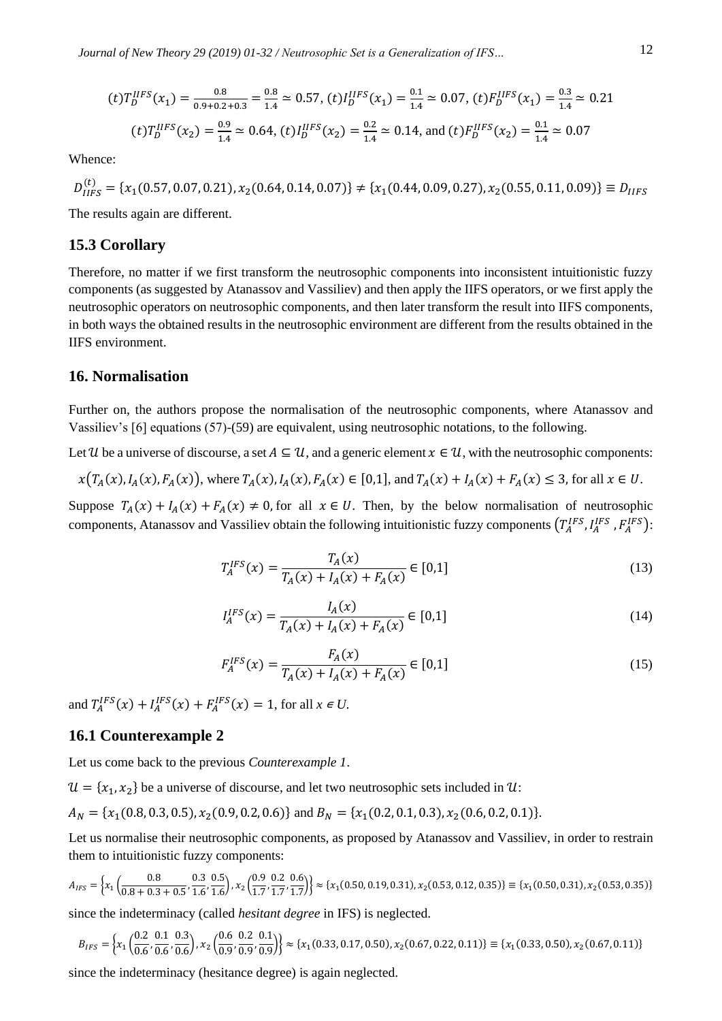$$
(t)T_D^{IIFS}(x_1) = \frac{0.8}{0.9 + 0.2 + 0.3} = \frac{0.8}{1.4} \approx 0.57, (t)I_D^{IIFS}(x_1) = \frac{0.1}{1.4} \approx 0.07, (t)F_D^{IIFS}(x_1) = \frac{0.3}{1.4} \approx 0.21
$$

$$
(t)T_D^{IIFS}(x_2) = \frac{0.9}{1.4} \approx 0.64, (t)I_D^{IIFS}(x_2) = \frac{0.2}{1.4} \approx 0.14, \text{ and } (t)F_D^{IIFS}(x_2) = \frac{0.1}{1.4} \approx 0.07
$$

Whence:

 $D_{IIFS}^{(t)} = \{x_1(0.57, 0.07, 0.21), x_2(0.64, 0.14, 0.07)\} \neq \{x_1(0.44, 0.09, 0.27), x_2(0.55, 0.11, 0.09)\} \equiv D_{IIFS}$ 

The results again are different.

## **15.3 Corollary**

Therefore, no matter if we first transform the neutrosophic components into inconsistent intuitionistic fuzzy components (as suggested by Atanassov and Vassiliev) and then apply the IIFS operators, or we first apply the neutrosophic operators on neutrosophic components, and then later transform the result into IIFS components, in both ways the obtained results in the neutrosophic environment are different from the results obtained in the IIFS environment.

#### **16. Normalisation**

Further on, the authors propose the normalisation of the neutrosophic components, where Atanassov and Vassiliev's [6] equations (57)-(59) are equivalent, using neutrosophic notations, to the following.

Let U be a universe of discourse, a set  $A \subseteq U$ , and a generic element  $x \in U$ , with the neutrosophic components:

$$
x(T_A(x), I_A(x), F_A(x))
$$
, where  $T_A(x), I_A(x), F_A(x) \in [0,1]$ , and  $T_A(x) + I_A(x) + F_A(x) \le 3$ , for all  $x \in U$ .

Suppose  $T_A(x) + I_A(x) + F_A(x) \neq 0$ , for all  $x \in U$ . Then, by the below normalisation of neutrosophic components, Atanassov and Vassiliev obtain the following intuitionistic fuzzy components  $(T_A^{IFS}, I_A^{IFS}, F_A^{IFS})$ :

$$
T_A^{IFS}(x) = \frac{T_A(x)}{T_A(x) + I_A(x) + F_A(x)} \in [0,1]
$$
\n(13)

$$
I_A^{IFS}(x) = \frac{I_A(x)}{T_A(x) + I_A(x) + F_A(x)} \in [0,1]
$$
\n(14)

$$
F_A^{IFS}(x) = \frac{F_A(x)}{T_A(x) + I_A(x) + F_A(x)} \in [0,1]
$$
\n(15)

and  $T_A^{IFS}(x) + I_A^{IFS}(x) + F_A^{IFS}(x) = 1$ , for all  $x \in U$ .

## **16.1 Counterexample 2**

Let us come back to the previous *Counterexample 1*.

 $\mathcal{U} = \{x_1, x_2\}$  be a universe of discourse, and let two neutrosophic sets included in  $\mathcal{U}$ :

$$
A_N = \{x_1(0.8, 0.3, 0.5), x_2(0.9, 0.2, 0.6)\} \text{ and } B_N = \{x_1(0.2, 0.1, 0.3), x_2(0.6, 0.2, 0.1)\}.
$$

Let us normalise their neutrosophic components, as proposed by Atanassov and Vassiliev, in order to restrain them to intuitionistic fuzzy components:

$$
A_{IFS}=\left\{x_1\left(\frac{0.8}{0.8+0.3+0.5},\frac{0.3}{1.6},\frac{0.5}{1.6}\right),x_2\left(\frac{0.9}{1.7},\frac{0.2}{1.7},\frac{0.6}{1.7}\right)\right\}\approx\left\{x_1(0.50,0.19,0.31),x_2(0.53,0.12,0.35)\right\}\equiv\left\{x_1(0.50,0.31),x_2(0.53,0.35)\right\}
$$

since the indeterminacy (called *hesitant degree* in IFS) is neglected.

$$
B_{IFS} = \left\{ x_1 \left( \frac{0.2}{0.6}, \frac{0.1}{0.6}, \frac{0.3}{0.6} \right), x_2 \left( \frac{0.6}{0.9}, \frac{0.2}{0.9}, \frac{0.1}{0.9} \right) \right\} \approx \left\{ x_1 (0.33, 0.17, 0.50), x_2 (0.67, 0.22, 0.11) \right\} \equiv \left\{ x_1 (0.33, 0.50), x_2 (0.67, 0.11) \right\}
$$

since the indeterminacy (hesitance degree) is again neglected.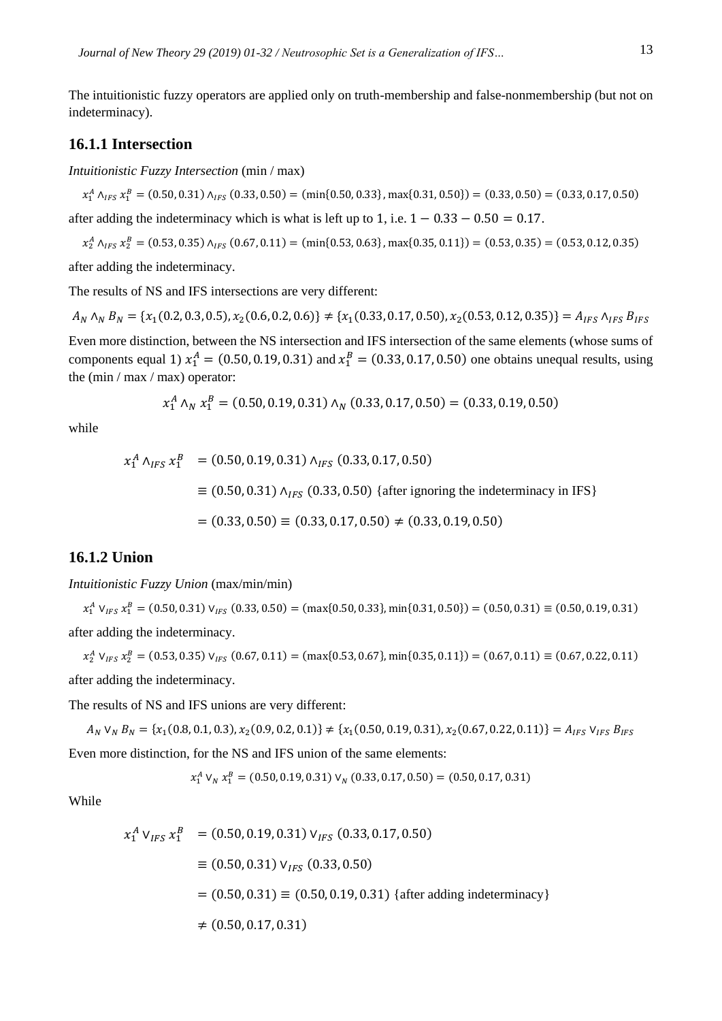The intuitionistic fuzzy operators are applied only on truth-membership and false-nonmembership (but not on indeterminacy).

## **16.1.1 Intersection**

*Intuitionistic Fuzzy Intersection* (min / max)

 $x_1^A \wedge_{IFS} x_1^B = (0.50, 0.31) \wedge_{IFS} (0.33, 0.50) = (\min\{0.50, 0.33\}, \max\{0.31, 0.50\}) = (0.33, 0.50) = (0.33, 0.17, 0.50)$ after adding the indeterminacy which is what is left up to 1, i.e.  $1 - 0.33 - 0.50 = 0.17$ .

 $x_2^A \wedge_{IFS} x_2^B = (0.53, 0.35) \wedge_{IFS} (0.67, 0.11) = (\min\{0.53, 0.63\}, \max\{0.35, 0.11\}) = (0.53, 0.35) = (0.53, 0.12, 0.35)$ 

after adding the indeterminacy.

The results of NS and IFS intersections are very different:

 $A_N \wedge_N B_N = \{x_1(0.2, 0.3, 0.5), x_2(0.6, 0.2, 0.6)\} \neq \{x_1(0.33, 0.17, 0.50), x_2(0.53, 0.12, 0.35)\} = A_{IFS} \wedge_{IFS} B_{IFS}$ 

Even more distinction, between the NS intersection and IFS intersection of the same elements (whose sums of components equal 1)  $x_1^A = (0.50, 0.19, 0.31)$  and  $x_1^B = (0.33, 0.17, 0.50)$  one obtains unequal results, using the (min / max / max) operator:

$$
x_1^A \wedge_N x_1^B = (0.50, 0.19, 0.31) \wedge_N (0.33, 0.17, 0.50) = (0.33, 0.19, 0.50)
$$

while

$$
x_1^A \wedge_{IFS} x_1^B = (0.50, 0.19, 0.31) \wedge_{IFS} (0.33, 0.17, 0.50)
$$
  
\n
$$
\equiv (0.50, 0.31) \wedge_{IFS} (0.33, 0.50) \{ \text{after ignoring the indeterminacy in IFS} \}
$$
  
\n
$$
= (0.33, 0.50) \equiv (0.33, 0.17, 0.50) \neq (0.33, 0.19, 0.50)
$$

## **16.1.2 Union**

*Intuitionistic Fuzzy Union* (max/min/min)

 $x_1^A$   $V_{IFS}$   $x_1^B = (0.50, 0.31)$   $V_{IFS}$   $(0.33, 0.50) = (max\{0.50, 0.33\}, min\{0.31, 0.50\}) = (0.50, 0.31) \equiv (0.50, 0.19, 0.31)$ after adding the indeterminacy.

 $x_2^A$   $V_{IFS}$   $x_2^B$  = (0.53, 0.35)  $V_{IFS}$  (0.67, 0.11) = (max{0.53, 0.67}, min{0.35, 0.11}) = (0.67, 0.11)  $\equiv$  (0.67, 0.22, 0.11) after adding the indeterminacy.

The results of NS and IFS unions are very different:

 $A_N$   $V_N$   $B_N = \{x_1(0.8, 0.1, 0.3), x_2(0.9, 0.2, 0.1)\}\neq \{x_1(0.50, 0.19, 0.31), x_2(0.67, 0.22, 0.11)\}\n= A_{IFS}$   $V_{IFS}$   $B_{IFS}$ Even more distinction, for the NS and IFS union of the same elements:

$$
x_1^A \vee_N x_1^B = (0.50, 0.19, 0.31) \vee_N (0.33, 0.17, 0.50) = (0.50, 0.17, 0.31)
$$

While

$$
x_1^A V_{IFS} x_1^B = (0.50, 0.19, 0.31) V_{IFS} (0.33, 0.17, 0.50)
$$
  
\n
$$
\equiv (0.50, 0.31) V_{IFS} (0.33, 0.50)
$$
  
\n
$$
= (0.50, 0.31) \equiv (0.50, 0.19, 0.31) \{ \text{after adding indeterminacy} \}
$$
  
\n
$$
\neq (0.50, 0.17, 0.31)
$$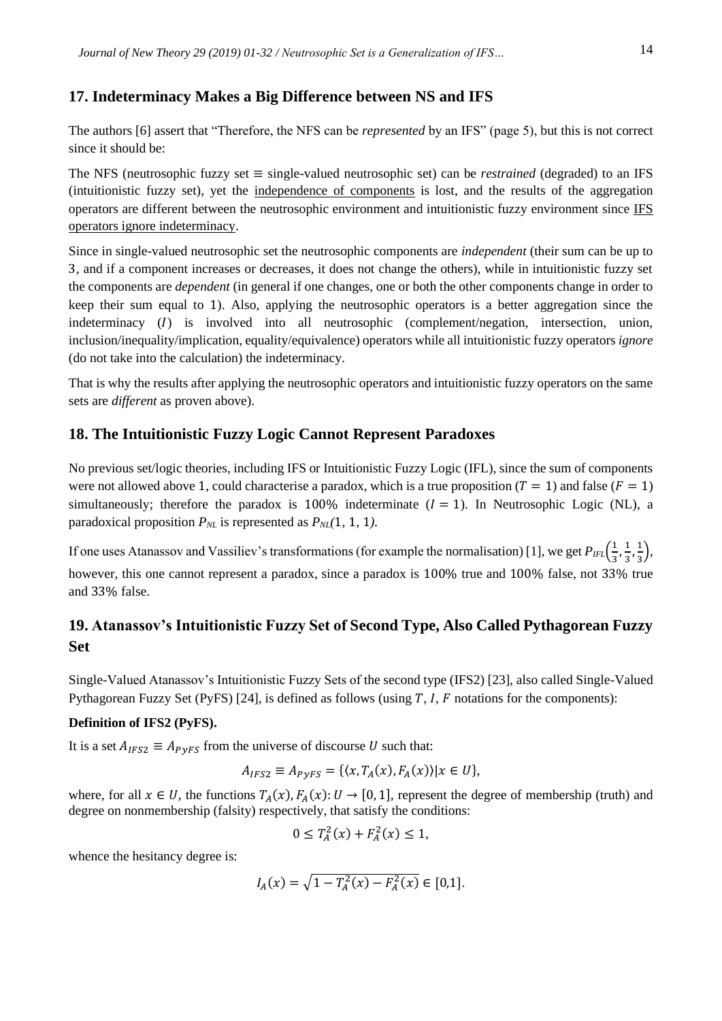## **17. Indeterminacy Makes a Big Difference between NS and IFS**

The authors [6] assert that "Therefore, the NFS can be *represented* by an IFS" (page 5), but this is not correct since it should be:

The NFS (neutrosophic fuzzy set ≡ single-valued neutrosophic set) can be *restrained* (degraded) to an IFS (intuitionistic fuzzy set), yet the independence of components is lost, and the results of the aggregation operators are different between the neutrosophic environment and intuitionistic fuzzy environment since IFS operators ignore indeterminacy.

Since in single-valued neutrosophic set the neutrosophic components are *independent* (their sum can be up to 3, and if a component increases or decreases, it does not change the others), while in intuitionistic fuzzy set the components are *dependent* (in general if one changes, one or both the other components change in order to keep their sum equal to 1). Also, applying the neutrosophic operators is a better aggregation since the indeterminacy (I) is involved into all neutrosophic (complement/negation, intersection, union, inclusion/inequality/implication, equality/equivalence) operators while all intuitionistic fuzzy operators *ignore* (do not take into the calculation) the indeterminacy.

That is why the results after applying the neutrosophic operators and intuitionistic fuzzy operators on the same sets are *different* as proven above).

## **18. The Intuitionistic Fuzzy Logic Cannot Represent Paradoxes**

No previous set/logic theories, including IFS or Intuitionistic Fuzzy Logic (IFL), since the sum of components were not allowed above 1, could characterise a paradox, which is a true proposition  $(T = 1)$  and false  $(F = 1)$ simultaneously; therefore the paradox is 100% indeterminate  $(I = 1)$ . In Neutrosophic Logic (NL), a paradoxical proposition  $P_{NL}$  is represented as  $P_{NL}(1, 1, 1)$ .

If one uses Atanassov and Vassiliev's transformations (for example the normalisation) [1], we get  $P_{IFL}(\frac{1}{2})$  $\frac{1}{3}, \frac{1}{3}$  $\frac{1}{3}, \frac{1}{3}$  $\frac{1}{3}$ ), however, this one cannot represent a paradox, since a paradox is 100% true and 100% false, not 33% true and 33% false.

## **19. Atanassov's Intuitionistic Fuzzy Set of Second Type, Also Called Pythagorean Fuzzy Set**

Single-Valued Atanassov's Intuitionistic Fuzzy Sets of the second type (IFS2) [23], also called Single-Valued Pythagorean Fuzzy Set (PyFS) [24], is defined as follows (using  $T$ ,  $I$ ,  $F$  notations for the components):

## **Definition of IFS2 (PyFS).**

It is a set  $A_{IFS2} \equiv A_{PVFS}$  from the universe of discourse U such that:

$$
A_{IFS2} \equiv A_{PyFS} = \{ \langle x, T_A(x), F_A(x) \rangle | x \in U \},\
$$

where, for all  $x \in U$ , the functions  $T_A(x)$ ,  $F_A(x)$ :  $U \to [0, 1]$ , represent the degree of membership (truth) and degree on nonmembership (falsity) respectively, that satisfy the conditions:

$$
0 \le T_A^2(x) + F_A^2(x) \le 1,
$$

whence the hesitancy degree is:

$$
I_A(x) = \sqrt{1 - T_A^2(x) - F_A^2(x)} \in [0,1].
$$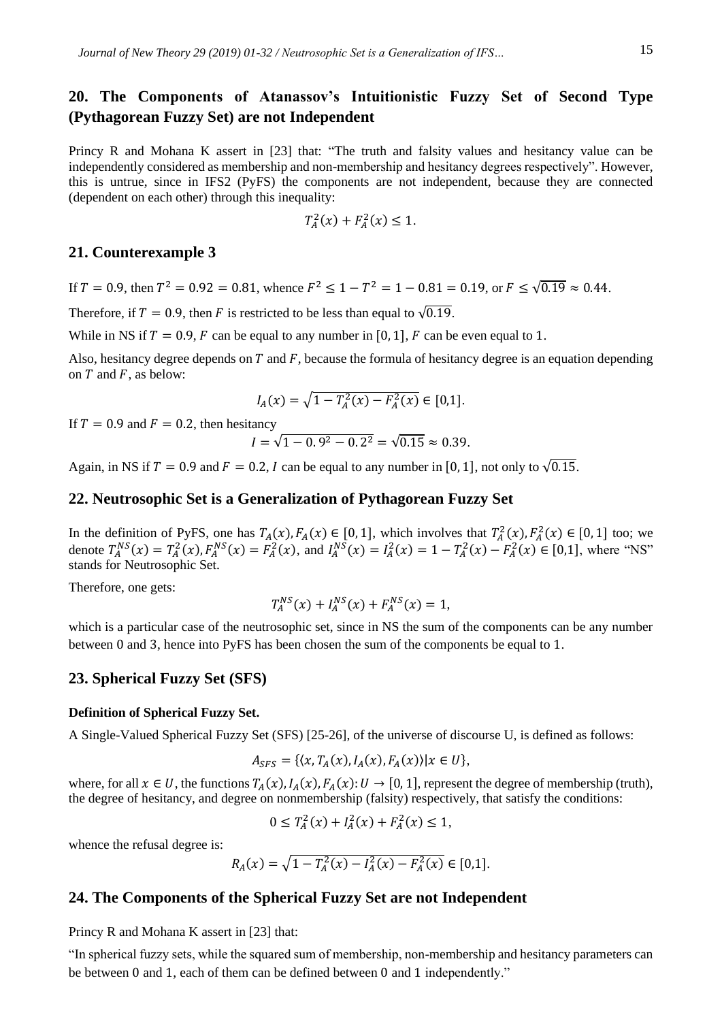## **20. The Components of Atanassov's Intuitionistic Fuzzy Set of Second Type (Pythagorean Fuzzy Set) are not Independent**

Princy R and Mohana K assert in [23] that: "The truth and falsity values and hesitancy value can be independently considered as membership and non-membership and hesitancy degrees respectively". However, this is untrue, since in IFS2 (PyFS) the components are not independent, because they are connected (dependent on each other) through this inequality:

$$
T_A^2(x) + F_A^2(x) \le 1.
$$

## **21. Counterexample 3**

If  $T = 0.9$ , then  $T^2 = 0.92 = 0.81$ , whence  $F^2 \le 1 - T^2 = 1 - 0.81 = 0.19$ , or  $F \le \sqrt{0.19} \approx 0.44$ .

Therefore, if  $T = 0.9$ , then F is restricted to be less than equal to  $\sqrt{0.19}$ .

While in NS if  $T = 0.9$ , F can be equal to any number in [0, 1], F can be even equal to 1.

Also, hesitancy degree depends on  $T$  and  $F$ , because the formula of hesitancy degree is an equation depending on  $T$  and  $F$ , as below:

$$
I_A(x) = \sqrt{1 - T_A^2(x) - F_A^2(x)} \in [0,1].
$$

If  $T = 0.9$  and  $F = 0.2$ , then hesitancy

$$
I = \sqrt{1 - 0.9^2 - 0.2^2} = \sqrt{0.15} \approx 0.39.
$$

Again, in NS if  $T = 0.9$  and  $F = 0.2$ , I can be equal to any number in [0, 1], not only to  $\sqrt{0.15}$ .

## **22. Neutrosophic Set is a Generalization of Pythagorean Fuzzy Set**

In the definition of PyFS, one has  $T_A(x), F_A(x) \in [0, 1]$ , which involves that  $T_A^2(x), F_A^2(x) \in [0, 1]$  too; we denote  $T_A^{NS}(x) = T_A^2(x)$ ,  $F_A^{NS}(x) = F_A^2(x)$ , and  $I_A^{NS}(x) = I_A^2(x) = 1 - T_A^2(x) - F_A^2(x) \in [0,1]$ , where "NS" stands for Neutrosophic Set.

Therefore, one gets:

$$
T_A^{NS}(x) + I_A^{NS}(x) + F_A^{NS}(x) = 1,
$$

which is a particular case of the neutrosophic set, since in NS the sum of the components can be any number between 0 and 3, hence into PyFS has been chosen the sum of the components be equal to 1.

### **23. Spherical Fuzzy Set (SFS)**

#### **Definition of Spherical Fuzzy Set.**

A Single-Valued Spherical Fuzzy Set (SFS) [25-26], of the universe of discourse U, is defined as follows:

$$
A_{SFS} = \{ \langle x, T_A(x), I_A(x), F_A(x) \rangle | x \in U \},\
$$

where, for all  $x \in U$ , the functions  $T_A(x)$ ,  $I_A(x)$ ,  $F_A(x)$ :  $U \to [0, 1]$ , represent the degree of membership (truth), the degree of hesitancy, and degree on nonmembership (falsity) respectively, that satisfy the conditions:

$$
0 \le T_A^2(x) + I_A^2(x) + F_A^2(x) \le 1,
$$

whence the refusal degree is:

$$
R_A(x) = \sqrt{1 - T_A^2(x) - I_A^2(x) - F_A^2(x)} \in [0,1].
$$

#### **24. The Components of the Spherical Fuzzy Set are not Independent**

Princy R and Mohana K assert in [23] that:

"In spherical fuzzy sets, while the squared sum of membership, non-membership and hesitancy parameters can be between 0 and 1, each of them can be defined between 0 and 1 independently."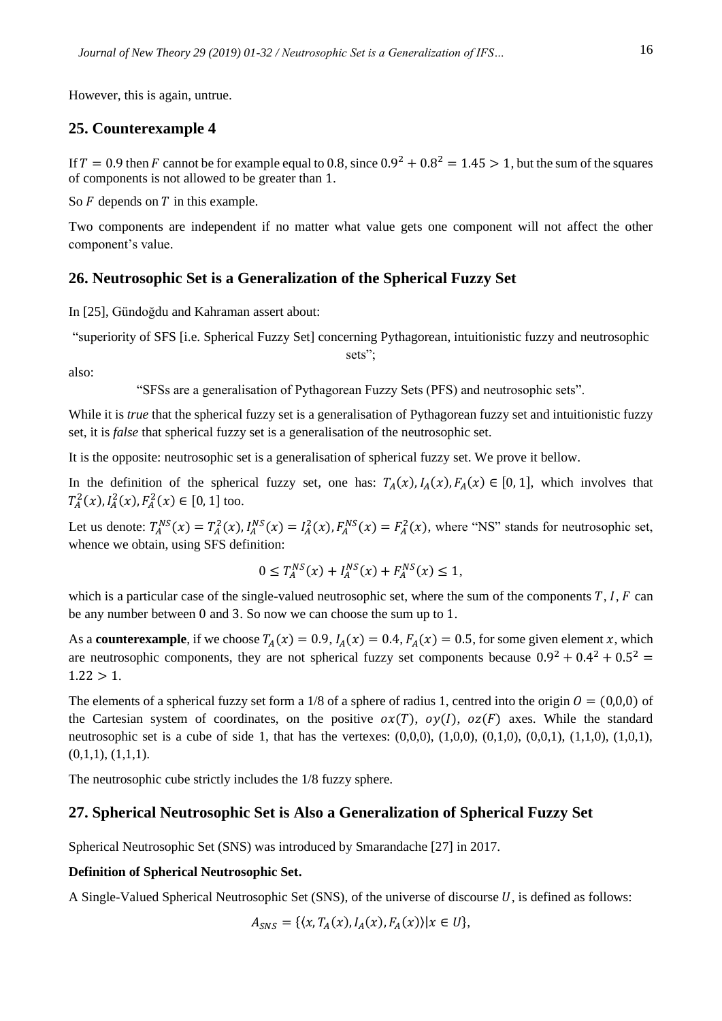However, this is again, untrue.

## **25. Counterexample 4**

also:

If  $T = 0.9$  then F cannot be for example equal to 0.8, since  $0.9^2 + 0.8^2 = 1.45 > 1$ , but the sum of the squares of components is not allowed to be greater than 1.

So  $F$  depends on  $T$  in this example.

Two components are independent if no matter what value gets one component will not affect the other component's value.

## **26. Neutrosophic Set is a Generalization of the Spherical Fuzzy Set**

In [25], Gündoğdu and Kahraman assert about:

"superiority of SFS [i.e. Spherical Fuzzy Set] concerning Pythagorean, intuitionistic fuzzy and neutrosophic

sets":

"SFSs are a generalisation of Pythagorean Fuzzy Sets (PFS) and neutrosophic sets".

While it is *true* that the spherical fuzzy set is a generalisation of Pythagorean fuzzy set and intuitionistic fuzzy set, it is *false* that spherical fuzzy set is a generalisation of the neutrosophic set.

It is the opposite: neutrosophic set is a generalisation of spherical fuzzy set. We prove it bellow.

In the definition of the spherical fuzzy set, one has:  $T_A(x)$ ,  $I_A(x)$ ,  $F_A(x) \in [0, 1]$ , which involves that  $T_A^2(x)$ ,  $I_A^2(x)$ ,  $F_A^2(x) \in [0, 1]$  too.

Let us denote:  $T_A^{NS}(x) = T_A^2(x)$ ,  $I_A^{NS}(x) = I_A^2(x)$ ,  $F_A^{NS}(x) = F_A^2(x)$ , where "NS" stands for neutrosophic set, whence we obtain, using SFS definition:

$$
0 \le T_A^{NS}(x) + I_A^{NS}(x) + F_A^{NS}(x) \le 1,
$$

which is a particular case of the single-valued neutrosophic set, where the sum of the components  $T$ ,  $I$ ,  $F$  can be any number between 0 and 3. So now we can choose the sum up to 1.

As a **counterexample**, if we choose  $T_A(x) = 0.9$ ,  $I_A(x) = 0.4$ ,  $F_A(x) = 0.5$ , for some given element x, which are neutrosophic components, they are not spherical fuzzy set components because  $0.9^2 + 0.4^2 + 0.5^2 =$  $1.22 > 1.$ 

The elements of a spherical fuzzy set form a 1/8 of a sphere of radius 1, centred into the origin  $\theta = (0,0,0)$  of the Cartesian system of coordinates, on the positive  $\alpha x(T)$ ,  $\alpha y(I)$ ,  $\alpha z(F)$  axes. While the standard neutrosophic set is a cube of side 1, that has the vertexes:  $(0,0,0)$ ,  $(1,0,0)$ ,  $(0,1,0)$ ,  $(0,0,1)$ ,  $(1,1,0)$ ,  $(1,0,1)$ ,  $(0,1,1), (1,1,1).$ 

The neutrosophic cube strictly includes the 1/8 fuzzy sphere.

## **27. Spherical Neutrosophic Set is Also a Generalization of Spherical Fuzzy Set**

Spherical Neutrosophic Set (SNS) was introduced by Smarandache [27] in 2017.

## **Definition of Spherical Neutrosophic Set.**

A Single-Valued Spherical Neutrosophic Set (SNS), of the universe of discourse  $U$ , is defined as follows:

$$
A_{SNS} = \{ (x, T_A(x), I_A(x), F_A(x)) | x \in U \},\
$$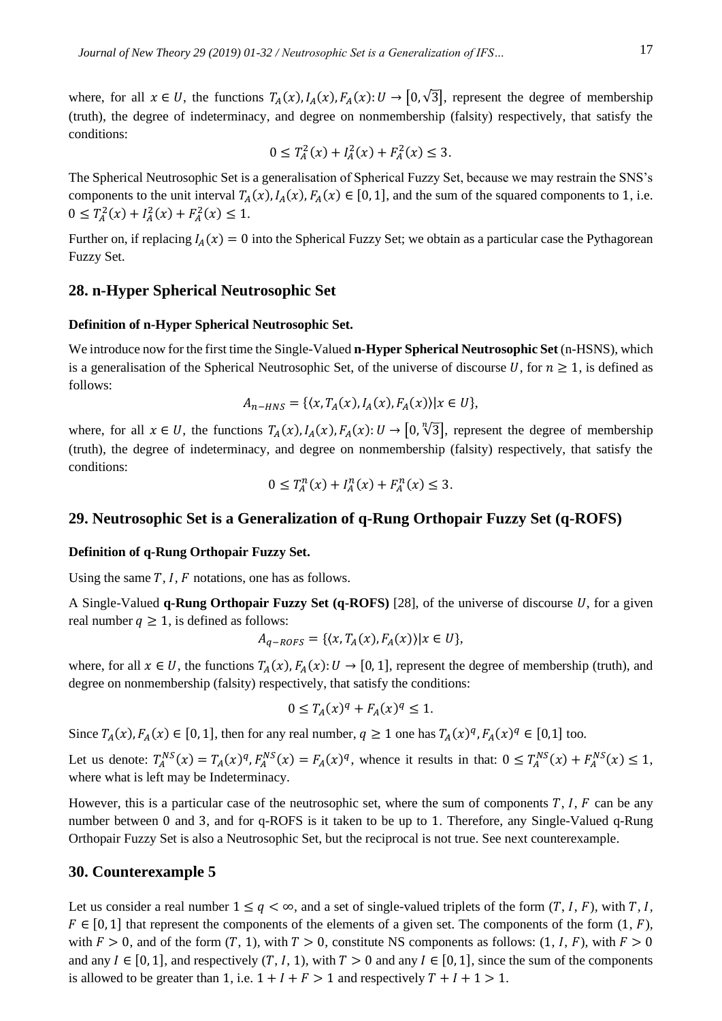where, for all  $x \in U$ , the functions  $T_A(x)$ ,  $I_A(x)$ ,  $F_A(x): U \to [0, \sqrt{3}]$ , represent the degree of membership (truth), the degree of indeterminacy, and degree on nonmembership (falsity) respectively, that satisfy the conditions:

$$
0 \le T_A^2(x) + I_A^2(x) + F_A^2(x) \le 3.
$$

The Spherical Neutrosophic Set is a generalisation of Spherical Fuzzy Set, because we may restrain the SNS's components to the unit interval  $T_A(x)$ ,  $I_A(x)$ ,  $F_A(x) \in [0, 1]$ , and the sum of the squared components to 1, i.e.  $0 \leq T_A^2(x) + I_A^2(x) + F_A^2(x) \leq 1.$ 

Further on, if replacing  $I_A(x) = 0$  into the Spherical Fuzzy Set; we obtain as a particular case the Pythagorean Fuzzy Set.

## **28. n-Hyper Spherical Neutrosophic Set**

#### **Definition of n-Hyper Spherical Neutrosophic Set.**

We introduce now for the first time the Single-Valued **n-Hyper Spherical Neutrosophic Set** (n-HSNS), which is a generalisation of the Spherical Neutrosophic Set, of the universe of discourse U, for  $n \ge 1$ , is defined as follows:

$$
A_{n-HNS} = \{ (x, T_A(x), I_A(x), F_A(x)) | x \in U \},
$$

where, for all  $x \in U$ , the functions  $T_A(x)$ ,  $I_A(x)$ ,  $F_A(x)$ :  $U \to [0, \sqrt[n]{3}]$ , represent the degree of membership (truth), the degree of indeterminacy, and degree on nonmembership (falsity) respectively, that satisfy the conditions:

$$
0 \le T_A^n(x) + I_A^n(x) + F_A^n(x) \le 3.
$$

## **29. Neutrosophic Set is a Generalization of q-Rung Orthopair Fuzzy Set (q-ROFS)**

## **Definition of q-Rung Orthopair Fuzzy Set.**

Using the same *T*, *I*, *F* notations, one has as follows.

A Single-Valued  $q$ -Rung Orthopair Fuzzy Set  $(q-ROFS)$  [28], of the universe of discourse  $U$ , for a given real number  $q \ge 1$ , is defined as follows:

$$
A_{q-ROFS} = \{ (x, T_A(x), F_A(x)) | x \in U \},\
$$

where, for all  $x \in U$ , the functions  $T_A(x)$ ,  $F_A(x): U \to [0, 1]$ , represent the degree of membership (truth), and degree on nonmembership (falsity) respectively, that satisfy the conditions:

$$
0 \leq T_A(x)^q + F_A(x)^q \leq 1.
$$

Since  $T_A(x)$ ,  $F_A(x) \in [0, 1]$ , then for any real number,  $q \ge 1$  one has  $T_A(x)^q$ ,  $F_A(x)^q \in [0, 1]$  too.

Let us denote:  $T_A^{NS}(x) = T_A(x)^q$ ,  $F_A^{NS}(x) = F_A(x)^q$ , whence it results in that:  $0 \le T_A^{NS}(x) + F_A^{NS}(x) \le 1$ , where what is left may be Indeterminacy.

However, this is a particular case of the neutrosophic set, where the sum of components  $T$ ,  $I$ ,  $F$  can be any number between 0 and 3, and for q-ROFS is it taken to be up to 1. Therefore, any Single-Valued q-Rung Orthopair Fuzzy Set is also a Neutrosophic Set, but the reciprocal is not true. See next counterexample.

#### **30. Counterexample 5**

Let us consider a real number  $1 \le q < \infty$ , and a set of single-valued triplets of the form  $(T, I, F)$ , with  $T, I$ ,  $F \in [0, 1]$  that represent the components of the elements of a given set. The components of the form  $(1, F)$ , with  $F > 0$ , and of the form  $(T, 1)$ , with  $T > 0$ , constitute NS components as follows:  $(1, I, F)$ , with  $F > 0$ and any  $I \in [0, 1]$ , and respectively  $(T, I, 1)$ , with  $T > 0$  and any  $I \in [0, 1]$ , since the sum of the components is allowed to be greater than 1, i.e.  $1 + I + F > 1$  and respectively  $T + I + 1 > 1$ .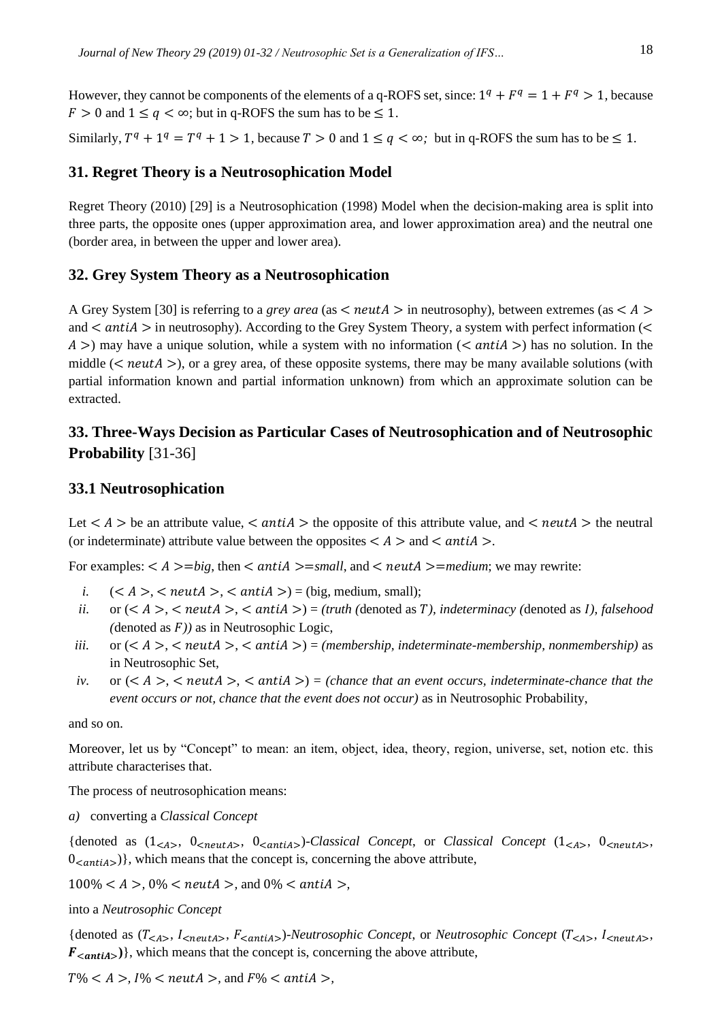However, they cannot be components of the elements of a q-ROFS set, since:  $1^q + F^q = 1 + F^q > 1$ , because  $F > 0$  and  $1 \le q < \infty$ ; but in q-ROFS the sum has to be  $\le 1$ .

Similarly,  $T^q + 1^q = T^q + 1 > 1$ , because  $T > 0$  and  $1 \le q < \infty$ ; but in q-ROFS the sum has to be  $\le 1$ .

## **31. Regret Theory is a Neutrosophication Model**

Regret Theory (2010) [29] is a Neutrosophication (1998) Model when the decision-making area is split into three parts, the opposite ones (upper approximation area, and lower approximation area) and the neutral one (border area, in between the upper and lower area).

## **32. Grey System Theory as a Neutrosophication**

A Grey System [30] is referring to a *grey area* (as  $\lt$  *neutra*  $>$  in neutrosophy), between extremes (as  $\lt$  A  $>$ and  $\langle$  antiA  $>$  in neutrosophy). According to the Grey System Theory, a system with perfect information ( $\langle$  $A >$ ) may have a unique solution, while a system with no information (< antiA >) has no solution. In the middle  $(*neutA*>)$ , or a grey area, of these opposite systems, there may be many available solutions (with partial information known and partial information unknown) from which an approximate solution can be extracted.

## **33. Three-Ways Decision as Particular Cases of Neutrosophication and of Neutrosophic Probability** [31-36]

#### **33.1 Neutrosophication**

Let  $\langle A \rangle$  be an attribute value,  $\langle \text{anti} A \rangle$  the opposite of this attribute value, and  $\langle \text{neut} A \rangle$  the neutral (or indeterminate) attribute value between the opposites  $\lt A$   $>$  and  $\lt$  antiA  $>$ .

For examples:  $\lt A \gt = bi$ g, then  $\lt antiA \gt = small$ , and  $\lt neut A \gt = medium$ ; we may rewrite:

- *i.*  $(*A*)$ ,  $<$  *neutA*  $>$ ,  $<$  *antiA*  $>$ ) = (big, medium, small);
- *ii.* or  $(< A >, < \text{neut } A >, < \text{ant } A >) = (\text{truth (denoted as } T)$ , indeterminacy (denoted as *I*), falsehood  $(denoted as F)$  as in Neutrosophic Logic,
- *iii.* or  $(< A > <$  neutA $>$ ,  $<$  antiA $>$ ) = (membership, indeterminate-membership, nonmembership) as in Neutrosophic Set,
- *iv.* or  $(*A*)$ ,  $<$  neutA $>$ ,  $<$  antiA $>$ ) = (chance that an event occurs, indeterminate-chance that the *event occurs or not, chance that the event does not occur)* as in Neutrosophic Probability,

and so on.

Moreover, let us by "Concept" to mean: an item, object, idea, theory, region, universe, set, notion etc. this attribute characterises that.

The process of neutrosophication means:

*a)* converting a *Classical Concept*

{denoted as  $(1_{}, 0\_{}, 0\_{}, 0\_{}\)$ -*Classical Concept*, or *Classical Concept*  $(1_{}, 0\_{}\)$  $0_{\leq \pi n}$  ), which means that the concept is, concerning the above attribute,

 $100\% < A > 0\% < \text{neut}A >$ , and  $0\% < \text{anti}A >$ ,

into a *Neutrosophic Concept*

{denoted as  $(T_{< A>}$ ,  $I_{}$ ,  $F_{}$ }*-Neutrosophic Concept*, or *Neutrosophic Concept* ( $T_{< A>}$ ,  $I_{}$ ,  $F_{\leq \text{anti}(A)}$ , which means that the concept is, concerning the above attribute,

 $T\% < A > I\% < \text{neut}A >$ , and  $F\% < \text{anti}A >$ ,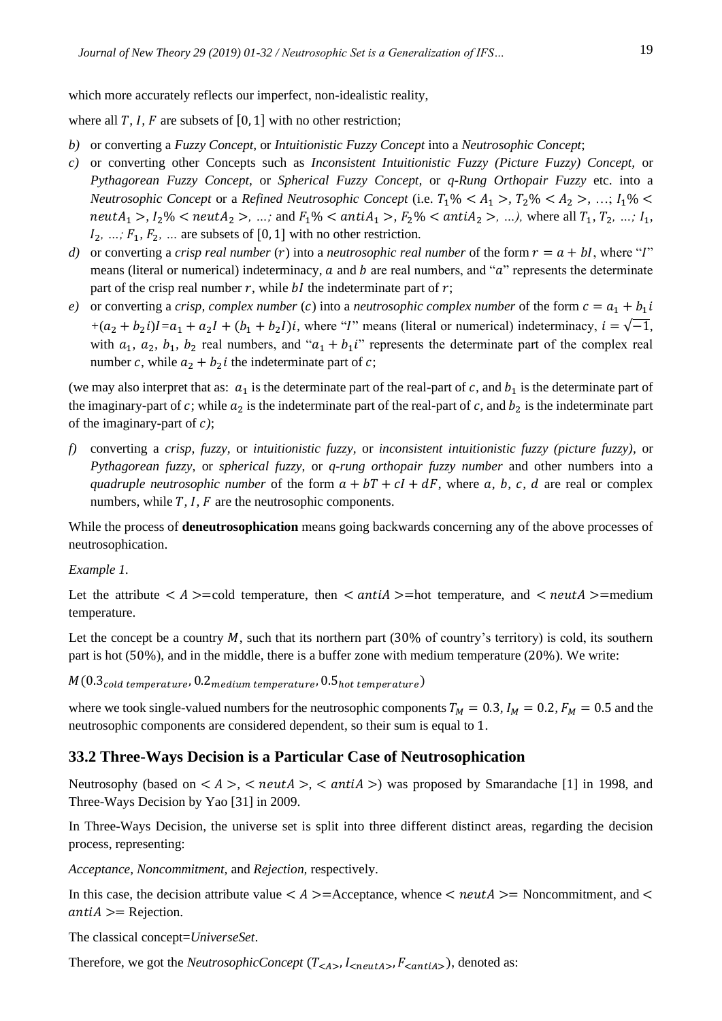where all  $T$ ,  $I$ ,  $F$  are subsets of [0, 1] with no other restriction;

- *b)* or converting a *Fuzzy Concept,* or *Intuitionistic Fuzzy Concept* into a *Neutrosophic Concept*;
- *c)* or converting other Concepts such as *Inconsistent Intuitionistic Fuzzy (Picture Fuzzy) Concept,* or *Pythagorean Fuzzy Concept,* or *Spherical Fuzzy Concept,* or *q-Rung Orthopair Fuzzy* etc. into a *Neutrosophic Concept or a Refined Neutrosophic Concept (i.e.*  $T_1\%$  *< A<sub>1</sub> >,*  $T_2\%$  *< A<sub>2</sub> >, ...;*  $I_1\%$  *< neutA*<sub>1</sub> >,  $I_2\%$  < *neutA*<sub>2</sub> >, ...; and  $F_1\%$  <  $antiA_1$  >,  $F_2\%$  <  $antiA_2$  >, ...), where all  $T_1, T_2, ..., I_1$ ,  $I_2, ..., F_1, F_2, ...$  are subsets of [0, 1] with no other restriction.
- *d)* or converting a *crisp real number* (*r*) into a *neutrosophic real number* of the form  $r = a + bI$ , where "*I*" means (literal or numerical) indeterminacy,  $a$  and  $b$  are real numbers, and " $a$ " represents the determinate part of the crisp real number  $r$ , while  $bI$  the indeterminate part of  $r$ ;
- *e*) or converting a *crisp, complex number* (*c*) into a *neutrosophic complex number* of the form  $c = a_1 + b_1 i$  $+(a_2 + b_2 i)I = a_1 + a_2 I + (b_1 + b_2 I)i$ , where "*I*" means (literal or numerical) indeterminacy,  $i = \sqrt{-1}$ , with  $a_1$ ,  $a_2$ ,  $b_1$ ,  $b_2$  real numbers, and " $a_1 + b_1i$ " represents the determinate part of the complex real number c, while  $a_2 + b_2 i$  the indeterminate part of c;

(we may also interpret that as:  $a_1$  is the determinate part of the real-part of *c*, and  $b_1$  is the determinate part of the imaginary-part of  $c$ ; while  $a_2$  is the indeterminate part of the real-part of  $c$ , and  $b_2$  is the indeterminate part of the imaginary-part of *)*;

*f)* converting a *crisp, fuzzy,* or *intuitionistic fuzzy,* or *inconsistent intuitionistic fuzzy (picture fuzzy),* or *Pythagorean fuzzy*, or *spherical fuzzy*, or *q-rung orthopair fuzzy number* and other numbers into a *quadruple neutrosophic number* of the form  $a + bT + cI + dF$ , where a, b, c, d are real or complex numbers, while *T*, *I*, *F* are the neutrosophic components.

While the process of **deneutrosophication** means going backwards concerning any of the above processes of neutrosophication.

#### *Example 1.*

Let the attribute  $\langle A \rangle$  =cold temperature, then  $\langle antiA \rangle$ =hot temperature, and  $\langle neutral \rangle$ =medium temperature.

Let the concept be a country  $M$ , such that its northern part (30% of country's territory) is cold, its southern part is hot (50%), and in the middle, there is a buffer zone with medium temperature (20%). We write:

 $M(0.3_{cold~temperature}, 0.2_{medium~temperature}, 0.5_{hot~temperature})$ 

where we took single-valued numbers for the neutrosophic components  $T_M = 0.3$ ,  $I_M = 0.2$ ,  $F_M = 0.5$  and the neutrosophic components are considered dependent, so their sum is equal to 1.

## **33.2 Three-Ways Decision is a Particular Case of Neutrosophication**

Neutrosophy (based on  $\langle A \rangle$ ,  $\langle \text{neut } A \rangle$ ,  $\langle \text{anti } A \rangle$ ) was proposed by Smarandache [1] in 1998, and Three-Ways Decision by Yao [31] in 2009.

In Three-Ways Decision, the universe set is split into three different distinct areas, regarding the decision process, representing:

*Acceptance, Noncommitment,* and *Rejection,* respectively.

In this case, the decision attribute value  $\lt A \gt =$ Acceptance, whence  $\lt n \cdot \text{multA} \gt =$ Noncommitment, and  $\lt$  $antiA \geq R$ ejection.

The classical concept=*UniverseSet*.

Therefore, we got the *NeutrosophicConcept*  $(T_{\leq A}$ ,  $I_{\leq neutral}$ ,  $F_{\leq antiA}$ ), denoted as: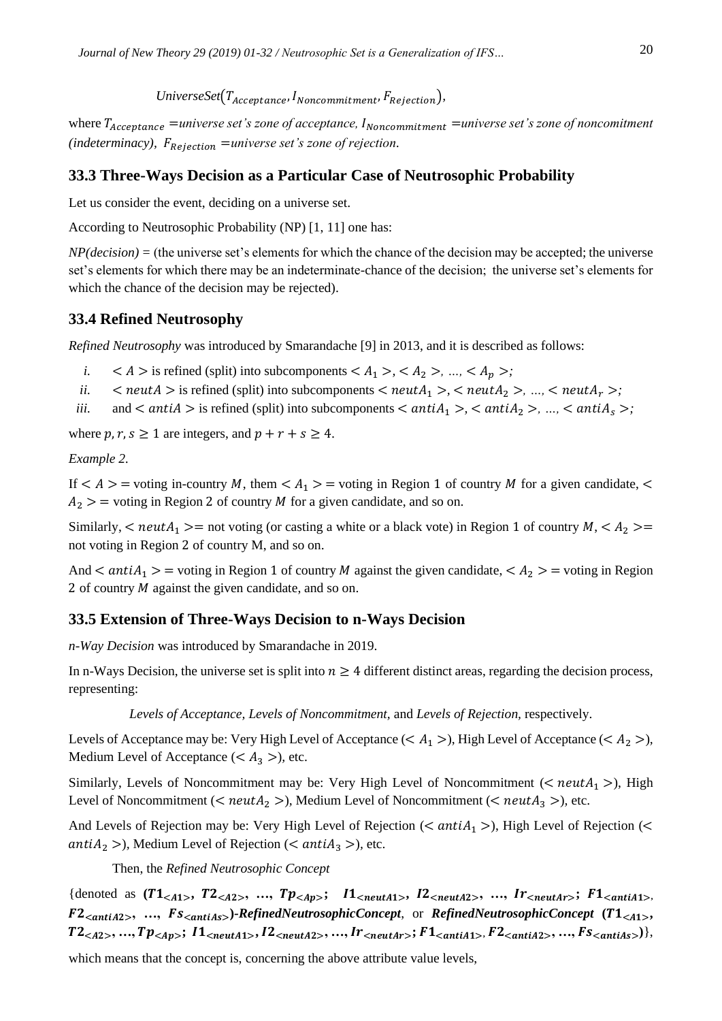*UniverseSet*( $T_{Acceptance}$ ,  $I_{Noncommitment}$ ,  $F_{Rejection}$ ),

where  $T_{Acceptance}$  = universe set's zone of acceptance,  $I_{Noncommitment}$  = universe set's zone of noncomitment  $(indeterminacy), F_{Rejection} = universe set's zone of rejection.$ 

## **33.3 Three-Ways Decision as a Particular Case of Neutrosophic Probability**

Let us consider the event, deciding on a universe set.

According to Neutrosophic Probability (NP) [1, 11] one has:

*NP(decision) =* (the universe set's elements for which the chance of the decision may be accepted; the universe set's elements for which there may be an indeterminate-chance of the decision; the universe set's elements for which the chance of the decision may be rejected).

## **33.4 Refined Neutrosophy**

*Refined Neutrosophy* was introduced by Smarandache [9] in 2013, and it is described as follows:

- *i.*  $\langle A \rangle$  is refined (split) into subcomponents  $\langle A_1 \rangle$ ,  $\langle A_2 \rangle$ , ...,  $\langle A_p \rangle$ ;
- *ii.*  $\langle$  neutA > is refined (split) into subcomponents  $\langle$  neutA<sub>1</sub> >,  $\langle$  neutA<sub>2</sub> >, ...,  $\langle$  neutA<sub>r</sub> >;
- *iii.* and  $\langle$  antiA  $>$  is refined (split) into subcomponents  $\langle$  antiA<sub>1</sub>  $>$ ,  $\langle$  antiA<sub>2</sub>  $>$ , ...,  $\langle$  antiA<sub>s</sub>  $>$ ;

where  $p, r, s \ge 1$  are integers, and  $p + r + s \ge 4$ .

*Example 2.*

If  $\lt A \gt \gt$  = voting in-country M, them  $\lt A_1 \gt \gt$  = voting in Region 1 of country M for a given candidate,  $\lt$  $A_2$  > = voting in Region 2 of country *M* for a given candidate, and so on.

Similarly,  $\lt$  neut $A_1 \gt$  = not voting (or casting a white or a black vote) in Region 1 of country  $M$ ,  $\lt A_2 \gt$ not voting in Region 2 of country M, and so on.

And  $\langle$  anti $A_1$   $\rangle$  = voting in Region 1 of country *M* against the given candidate,  $\langle A_2 \rangle$  = voting in Region 2 of country  $M$  against the given candidate, and so on.

## **33.5 Extension of Three-Ways Decision to n-Ways Decision**

*n-Way Decision* was introduced by Smarandache in 2019.

In n-Ways Decision, the universe set is split into  $n \geq 4$  different distinct areas, regarding the decision process, representing:

*Levels of Acceptance, Levels of Noncommitment,* and *Levels of Rejection,* respectively.

Levels of Acceptance may be: Very High Level of Acceptance ( $\lt A_1$ ), High Level of Acceptance ( $\lt A_2$ ), Medium Level of Acceptance ( $\lt A_3$ ), etc.

Similarly, Levels of Noncommitment may be: Very High Level of Noncommitment ( $\langle$  neut $A_1$ ), High Level of Noncommitment (<  $neut A_2$  >), Medium Level of Noncommitment (<  $neut A_3$  >), etc.

And Levels of Rejection may be: Very High Level of Rejection (<  $antiA_1$  >), High Level of Rejection (< *antiA*<sub>2</sub> >), Medium Level of Rejection (<  $antiA_3$  >), etc.

Then, the *Refined Neutrosophic Concept*

{denoted as  $(T1_{}, T2_{}, ..., Tp_{}; I1_{}, I2_{}, ..., Ir_{}; F1_{},$  $F2_{\le antiA2>}$ , ...,  $Fs_{\le antiAs>}$ )-RefinedNeutrosophicConcept, or *RefinedNeutrosophicConcept* (T1<sub><A1></sub>,  $T2_{}$ , ...,  $Tp_{}$ ;  $11_{}$ ,  $12_{}$ , ...,  $Ir_{}$ ;  $F1_{}$ ,  $F2_{}$ , ...,  $Fs_{}$ ),

which means that the concept is, concerning the above attribute value levels,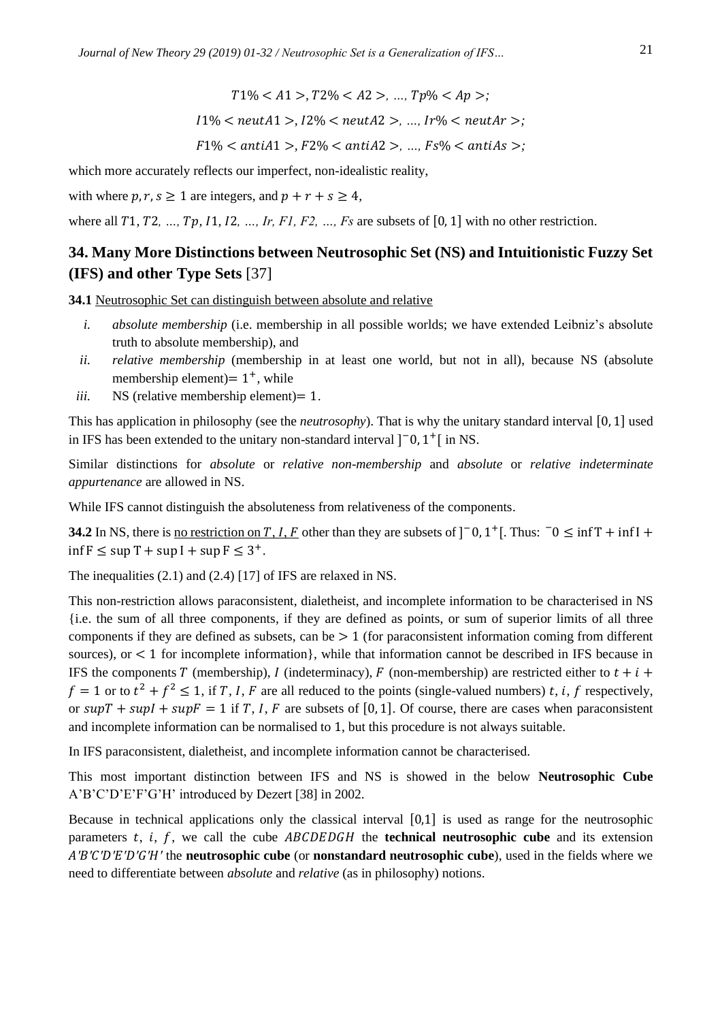$T1\% < A1 > T2\% < A2 > \ldots Tp\% < Ap >;$ 

$$
I1\% < neutral >, I2\% < neutral >, \dots, Ir\% < neutral >;
$$

$$
F1\% < antiA1 > F2\% < antiA2 > \ldots, Fs\% < antiAs > \ldots
$$

which more accurately reflects our imperfect, non-idealistic reality,

with where  $p, r, s \ge 1$  are integers, and  $p + r + s \ge 4$ ,

where all  $T_1, T_2, ..., T_p, I_1, I_2, ..., I_r, F_1, F_2, ..., F_s$  are subsets of [0, 1] with no other restriction.

## **34. Many More Distinctions between Neutrosophic Set (NS) and Intuitionistic Fuzzy Set (IFS) and other Type Sets** [37]

**34.1** Neutrosophic Set can distinguish between absolute and relative

- *i. absolute membership* (i.e. membership in all possible worlds; we have extended Leibniz's absolute truth to absolute membership), and
- *ii. relative membership* (membership in at least one world, but not in all), because NS (absolute membership element) =  $1^+$ , while
- *iii.* NS (relative membership element) = 1.

This has application in philosophy (see the *neutrosophy*). That is why the unitary standard interval [0, 1] used in IFS has been extended to the unitary non-standard interval  $]$ <sup>-</sup>0, 1<sup>+</sup>[ in NS.

Similar distinctions for *absolute* or *relative non-membership* and *absolute* or *relative indeterminate appurtenance* are allowed in NS.

While IFS cannot distinguish the absoluteness from relativeness of the components.

**34.2** In NS, there is <u>no restriction on T, I, F</u> other than they are subsets of  $]$ <sup>-</sup> 0, 1<sup>+</sup>[. Thus:  $\bar{0} \le \inf T + \inf I +$  $\inf F \leq \sup T + \sup I + \sup F \leq 3^+$ .

The inequalities (2.1) and (2.4) [17] of IFS are relaxed in NS.

This non-restriction allows paraconsistent, dialetheist, and incomplete information to be characterised in NS {i.e. the sum of all three components, if they are defined as points, or sum of superior limits of all three components if they are defined as subsets, can be  $> 1$  (for paraconsistent information coming from different sources), or  $\lt 1$  for incomplete information}, while that information cannot be described in IFS because in IFS the components T (membership), I (indeterminacy), F (non-membership) are restricted either to  $t + i$  +  $f = 1$  or to  $t^2 + f^2 \le 1$ , if T, I, F are all reduced to the points (single-valued numbers) t, i, f respectively, or  $supT + supI + supF = 1$  if T, I, F are subsets of [0, 1]. Of course, there are cases when paraconsistent and incomplete information can be normalised to 1, but this procedure is not always suitable.

In IFS paraconsistent, dialetheist, and incomplete information cannot be characterised.

This most important distinction between IFS and NS is showed in the below **Neutrosophic Cube** A'B'C'D'E'F'G'H' introduced by Dezert [38] in 2002.

Because in technical applications only the classical interval [0,1] is used as range for the neutrosophic parameters  $t$ ,  $i$ ,  $f$ , we call the cube  $ABCDEDGH$  the **technical neutrosophic cube** and its extension *A'B'C'D'E'D'G'H'* the **neutrosophic cube** (or **nonstandard neutrosophic cube**), used in the fields where we need to differentiate between *absolute* and *relative* (as in philosophy) notions.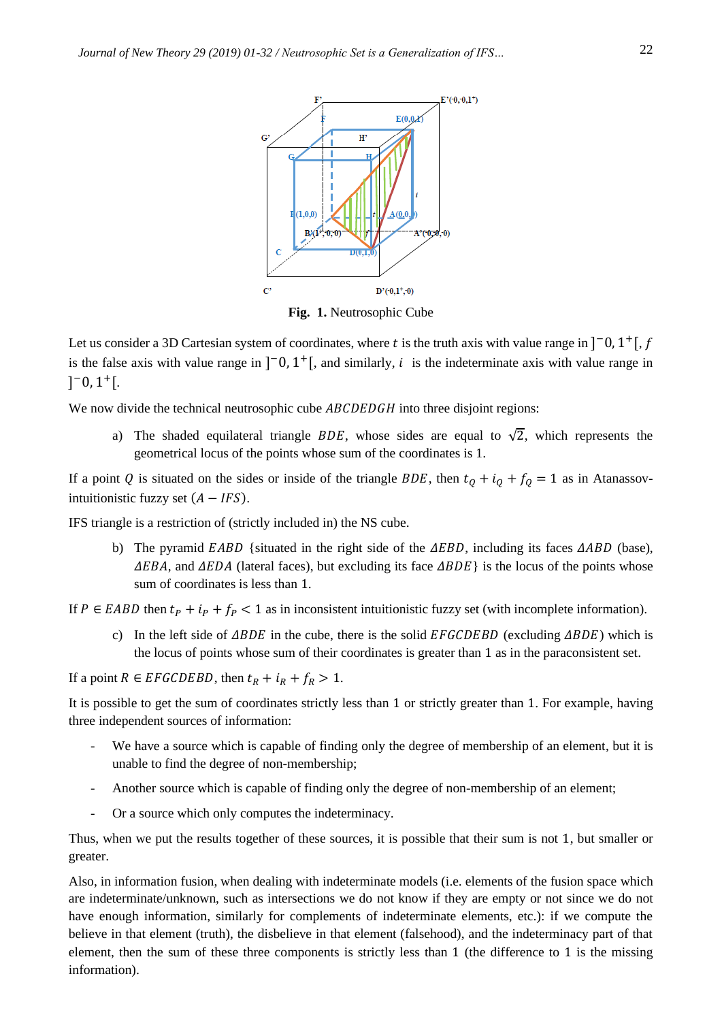

**Fig. 1.** Neutrosophic Cube

Let us consider a 3D Cartesian system of coordinates, where t is the truth axis with value range in  $]$ <sup>-</sup>0, 1<sup>+</sup>[, f is the false axis with value range in  $]$ <sup>-</sup>0, 1<sup>+</sup>[, and similarly, *i* is the indeterminate axis with value range in  $]$ <sup>-</sup>0, 1<sup>+</sup>[.

We now divide the technical neutrosophic cube  $ABCDEDGH$  into three disjoint regions:

a) The shaded equilateral triangle BDE, whose sides are equal to  $\sqrt{2}$ , which represents the geometrical locus of the points whose sum of the coordinates is 1.

If a point Q is situated on the sides or inside of the triangle BDE, then  $t_0 + i_0 + f_0 = 1$  as in Atanassovintuitionistic fuzzy set  $(A - IFS)$ .

IFS triangle is a restriction of (strictly included in) the NS cube.

b) The pyramid  $EABD$  {situated in the right side of the  $\triangle EBD$ , including its faces  $\triangle ABD$  (base),  $\Delta EBA$ , and  $\Delta EDA$  (lateral faces), but excluding its face  $\Delta BDE$  is the locus of the points whose sum of coordinates is less than 1.

If  $P \in EABD$  then  $t_P + t_P + f_P < 1$  as in inconsistent intuitionistic fuzzy set (with incomplete information).

c) In the left side of  $\triangle BDE$  in the cube, there is the solid EFGCDEBD (excluding  $\triangle BDE$ ) which is the locus of points whose sum of their coordinates is greater than 1 as in the paraconsistent set.

If a point  $R \in EFGCDEBD$ , then  $t_R + i_R + f_R > 1$ .

It is possible to get the sum of coordinates strictly less than 1 or strictly greater than 1. For example, having three independent sources of information:

- We have a source which is capable of finding only the degree of membership of an element, but it is unable to find the degree of non-membership;
- Another source which is capable of finding only the degree of non-membership of an element;
- Or a source which only computes the indeterminacy.

Thus, when we put the results together of these sources, it is possible that their sum is not 1, but smaller or greater.

Also, in information fusion, when dealing with indeterminate models (i.e. elements of the fusion space which are indeterminate/unknown, such as intersections we do not know if they are empty or not since we do not have enough information, similarly for complements of indeterminate elements, etc.): if we compute the believe in that element (truth), the disbelieve in that element (falsehood), and the indeterminacy part of that element, then the sum of these three components is strictly less than 1 (the difference to 1 is the missing information).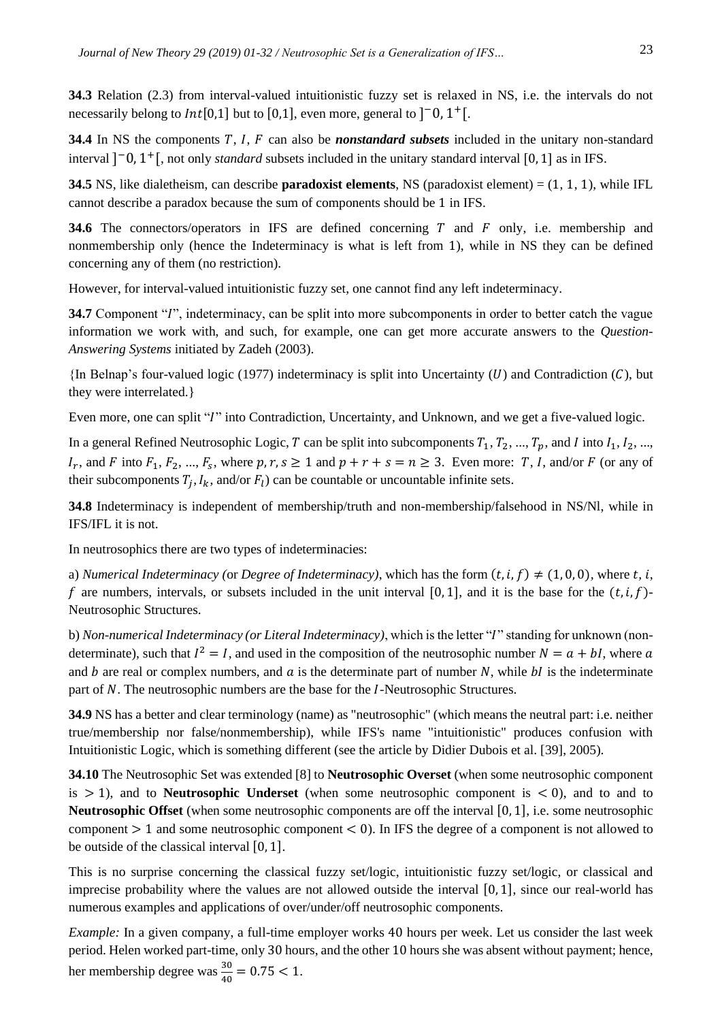**34.3** Relation (2.3) from interval-valued intuitionistic fuzzy set is relaxed in NS, i.e. the intervals do not necessarily belong to  $Int[0,1]$  but to [0,1], even more, general to  $]$ <sup>-</sup>0, 1<sup>+</sup>[.

**34.4** In NS the components T, I, F can also be *nonstandard subsets* included in the unitary non-standard interval ] <sup>−</sup>0, 1 <sup>+</sup>[, not only *standard* subsets included in the unitary standard interval [0, 1] as in IFS.

**34.5** NS, like dialetheism, can describe **paradoxist elements**, NS (paradoxist element) = (1, 1, 1), while IFL cannot describe a paradox because the sum of components should be 1 in IFS.

**34.6** The connectors/operators in IFS are defined concerning  $T$  and  $F$  only, i.e. membership and nonmembership only (hence the Indeterminacy is what is left from 1), while in NS they can be defined concerning any of them (no restriction).

However, for interval-valued intuitionistic fuzzy set, one cannot find any left indeterminacy.

**34.7** Component "*I*", indeterminacy, can be split into more subcomponents in order to better catch the vague information we work with, and such, for example, one can get more accurate answers to the *Question-Answering Systems* initiated by Zadeh (2003).

 ${\rm In}$  Belnap's four-valued logic (1977) indeterminacy is split into Uncertainty (U) and Contradiction (C), but they were interrelated.}

Even more, one can split "I" into Contradiction, Uncertainty, and Unknown, and we get a five-valued logic.

In a general Refined Neutrosophic Logic, T can be split into subcomponents  $T_1, T_2, ..., T_p$ , and I into  $I_1, I_2, ...,$  $I_r$ , and F into  $F_1, F_2, ..., F_s$ , where  $p, r, s \ge 1$  and  $p + r + s = n \ge 3$ . Even more: T, I, and/or F (or any of their subcomponents  $T_j$ ,  $I_k$ , and/or  $F_l$ ) can be countable or uncountable infinite sets.

**34.8** Indeterminacy is independent of membership/truth and non-membership/falsehood in NS/Nl, while in IFS/IFL it is not.

In neutrosophics there are two types of indeterminacies:

a) *Numerical Indeterminacy (or Degree of Indeterminacy)*, which has the form  $(t, i, f) \neq (1, 0, 0)$ , where  $t, i$ , f are numbers, intervals, or subsets included in the unit interval  $[0, 1]$ , and it is the base for the  $(t, i, f)$ -Neutrosophic Structures.

b) *Non-numerical Indeterminacy (or Literal Indeterminacy)*, which is the letter "" standing for unknown (nondeterminate), such that  $I^2 = I$ , and used in the composition of the neutrosophic number  $N = a + bI$ , where a and  $b$  are real or complex numbers, and  $a$  is the determinate part of number  $N$ , while  $bI$  is the indeterminate part of N. The neutrosophic numbers are the base for the *I*-Neutrosophic Structures.

**34.9** NS has a better and clear terminology (name) as "neutrosophic" (which means the neutral part: i.e. neither true/membership nor false/nonmembership), while IFS's name "intuitionistic" produces confusion with Intuitionistic Logic, which is something different (see the article by Didier Dubois et al. [39], 2005).

**34.10** The Neutrosophic Set was extended [8] to **Neutrosophic Overset** (when some neutrosophic component is  $> 1$ ), and to **Neutrosophic Underset** (when some neutrosophic component is  $< 0$ ), and to and to **Neutrosophic Offset** (when some neutrosophic components are off the interval [0, 1], i.e. some neutrosophic component  $> 1$  and some neutrosophic component  $< 0$ ). In IFS the degree of a component is not allowed to be outside of the classical interval [0, 1].

This is no surprise concerning the classical fuzzy set/logic, intuitionistic fuzzy set/logic, or classical and imprecise probability where the values are not allowed outside the interval  $[0, 1]$ , since our real-world has numerous examples and applications of over/under/off neutrosophic components.

*Example:* In a given company, a full-time employer works 40 hours per week. Let us consider the last week period. Helen worked part-time, only 30 hours, and the other 10 hours she was absent without payment; hence, her membership degree was  $\frac{30}{40} = 0.75 < 1$ .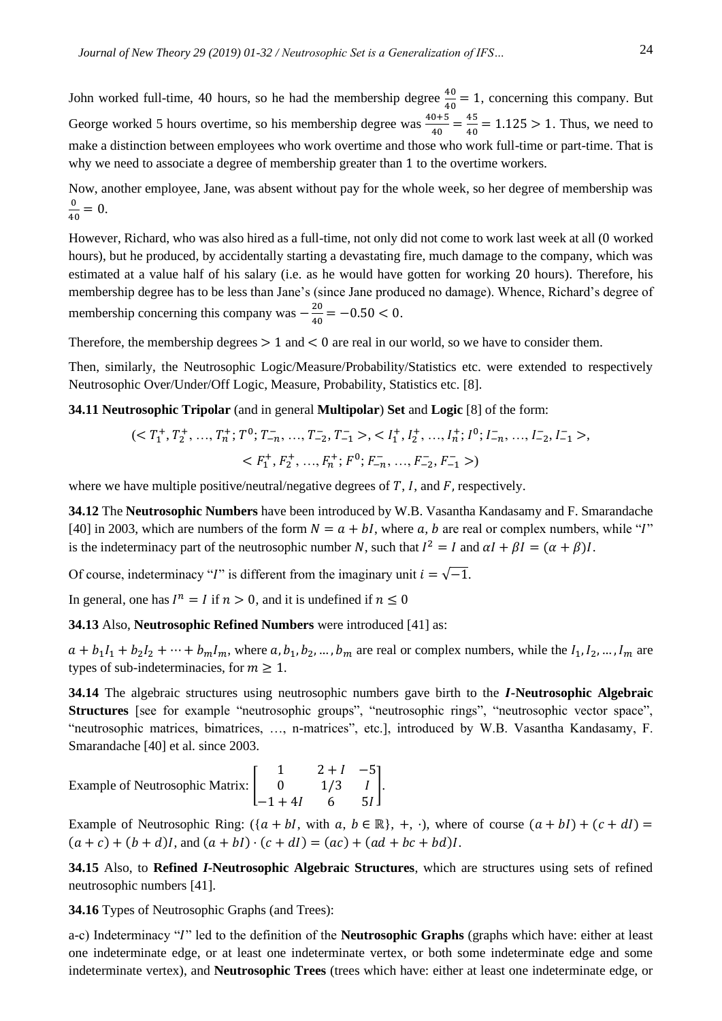John worked full-time, 40 hours, so he had the membership degree  $\frac{40}{40} = 1$ , concerning this company. But George worked 5 hours overtime, so his membership degree was  $\frac{40+5}{40} = \frac{45}{40}$  $\frac{45}{40}$  = 1.125 > 1. Thus, we need to make a distinction between employees who work overtime and those who work full-time or part-time. That is why we need to associate a degree of membership greater than 1 to the overtime workers.

Now, another employee, Jane, was absent without pay for the whole week, so her degree of membership was 0  $\frac{0}{40} = 0.$ 

However, Richard, who was also hired as a full-time, not only did not come to work last week at all (0 worked hours), but he produced, by accidentally starting a devastating fire, much damage to the company, which was estimated at a value half of his salary (i.e. as he would have gotten for working 20 hours). Therefore, his membership degree has to be less than Jane's (since Jane produced no damage). Whence, Richard's degree of membership concerning this company was  $-\frac{20}{40}$  $\frac{20}{40} = -0.50 < 0.$ 

Therefore, the membership degrees  $> 1$  and  $< 0$  are real in our world, so we have to consider them.

Then, similarly, the Neutrosophic Logic/Measure/Probability/Statistics etc. were extended to respectively Neutrosophic Over/Under/Off Logic, Measure, Probability, Statistics etc. [8].

**34.11 Neutrosophic Tripolar** (and in general **Multipolar**) **Set** and **Logic** [8] of the form:

$$
(T1+, T2+, ..., Tn+; T0; T-n-, ..., T-2, T-1->, I1+, I2+, ..., In+; I0; I-n-, ..., I-2, I-1 >,F1+, F2+, ..., Fn+; F0; F-n, ..., F-2, F-1-)
$$

where we have multiple positive/neutral/negative degrees of  $T$ ,  $I$ , and  $F$ , respectively.

**34.12** The **Neutrosophic Numbers** have been introduced by W.B. Vasantha Kandasamy and F. Smarandache [40] in 2003, which are numbers of the form  $N = a + bI$ , where a, b are real or complex numbers, while "I" is the indeterminacy part of the neutrosophic number N, such that  $I^2 = I$  and  $\alpha I + \beta I = (\alpha + \beta)I$ .

Of course, indeterminacy "*I*" is different from the imaginary unit  $i = \sqrt{-1}$ .

In general, one has  $I^n = I$  if  $n > 0$ , and it is undefined if  $n \le 0$ 

**34.13** Also, **Neutrosophic Refined Numbers** were introduced [41] as:

 $a + b_1I_1 + b_2I_2 + \cdots + b_mI_m$ , where  $a, b_1, b_2, \ldots, b_m$  are real or complex numbers, while the  $I_1, I_2, \ldots, I_m$  are types of sub-indeterminacies, for  $m \geq 1$ .

**34.14** The algebraic structures using neutrosophic numbers gave birth to the *-***Neutrosophic Algebraic Structures** [see for example "neutrosophic groups", "neutrosophic rings", "neutrosophic vector space", "neutrosophic matrices, bimatrices, …, n-matrices", etc.], introduced by W.B. Vasantha Kandasamy, F. Smarandache [40] et al. since 2003.

Example of Neutrosophic Matrix: 
$$
\begin{bmatrix} 1 & 2+I & -5 \ 0 & 1/3 & I \ -1+4I & 6 & 5I \end{bmatrix}
$$
.

Example of Neutrosophic Ring:  $({a + bl, with a, b \in \mathbb{R}}, +, \cdot)$ , where of course  $(a + bl) + (c + dl) =$  $(a + c) + (b + d)I$ , and  $(a + bl) \cdot (c + dl) = (ac) + (ad + bc + bd)I$ .

**34.15** Also, to **Refined** *I-***Neutrosophic Algebraic Structures**, which are structures using sets of refined neutrosophic numbers [41].

**34.16** Types of Neutrosophic Graphs (and Trees):

a-c) Indeterminacy "" led to the definition of the **Neutrosophic Graphs** (graphs which have: either at least one indeterminate edge, or at least one indeterminate vertex, or both some indeterminate edge and some indeterminate vertex), and **Neutrosophic Trees** (trees which have: either at least one indeterminate edge, or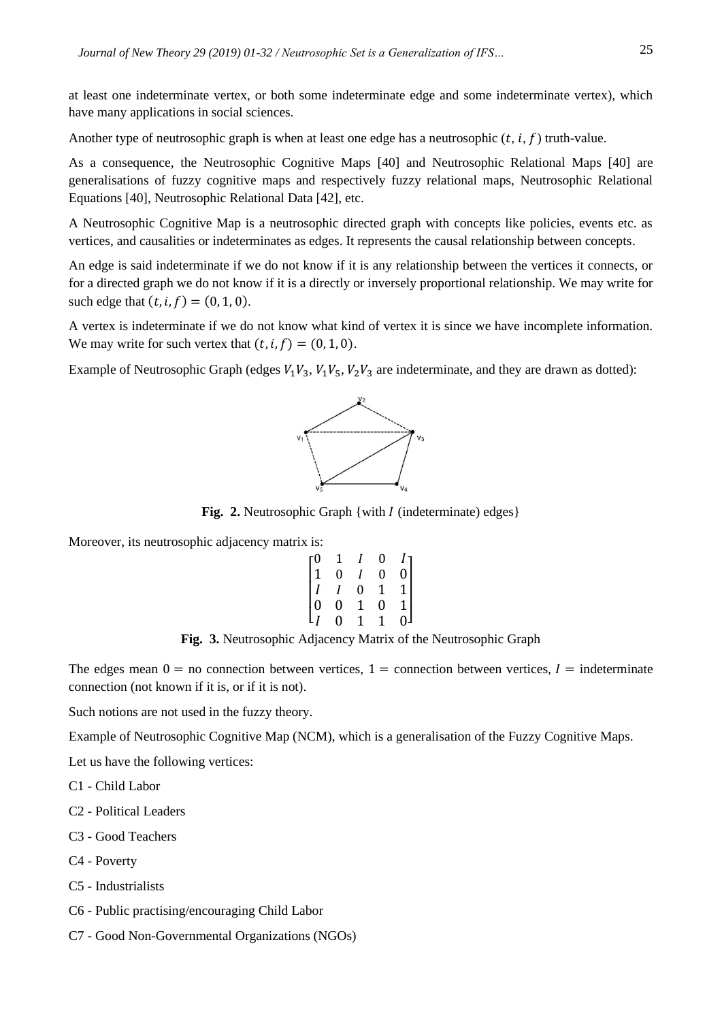at least one indeterminate vertex, or both some indeterminate edge and some indeterminate vertex), which have many applications in social sciences.

Another type of neutrosophic graph is when at least one edge has a neutrosophic  $(t, i, f)$  truth-value.

As a consequence, the Neutrosophic Cognitive Maps [40] and Neutrosophic Relational Maps [40] are generalisations of fuzzy cognitive maps and respectively fuzzy relational maps, Neutrosophic Relational Equations [40], Neutrosophic Relational Data [42], etc.

A Neutrosophic Cognitive Map is a neutrosophic directed graph with concepts like policies, events etc. as vertices, and causalities or indeterminates as edges. It represents the causal relationship between concepts.

An edge is said indeterminate if we do not know if it is any relationship between the vertices it connects, or for a directed graph we do not know if it is a directly or inversely proportional relationship. We may write for such edge that  $(t, i, f) = (0, 1, 0)$ .

A vertex is indeterminate if we do not know what kind of vertex it is since we have incomplete information. We may write for such vertex that  $(t, i, f) = (0, 1, 0)$ .

Example of Neutrosophic Graph (edges  $V_1V_3$ ,  $V_1V_5$ ,  $V_2V_3$  are indeterminate, and they are drawn as dotted):



**Fig. 2.** Neutrosophic Graph {with *I* (indeterminate) edges}

Moreover, its neutrosophic adjacency matrix is:

|                                                       |                                     |                | 0                               |                                                       |
|-------------------------------------------------------|-------------------------------------|----------------|---------------------------------|-------------------------------------------------------|
| $\begin{bmatrix} 0 \\ 1 \\ I \\ 0 \\ I \end{bmatrix}$ | $\begin{matrix} 1 \ 0 \end{matrix}$ |                | $\overline{0}$                  | $\begin{bmatrix} I \\ 0 \\ 1 \\ 1 \\ 0 \end{bmatrix}$ |
|                                                       |                                     | $\overline{0}$ | $\begin{matrix}1\0\end{matrix}$ |                                                       |
|                                                       | $\stackrel{\cdot}{0}$               | $\frac{1}{1}$  |                                 |                                                       |
|                                                       | $\overline{0}$                      |                | 1                               |                                                       |

**Fig. 3.** Neutrosophic Adjacency Matrix of the Neutrosophic Graph

The edges mean  $0 =$  no connection between vertices,  $1 =$  connection between vertices,  $I =$  indeterminate connection (not known if it is, or if it is not).

Such notions are not used in the fuzzy theory.

Example of Neutrosophic Cognitive Map (NCM), which is a generalisation of the Fuzzy Cognitive Maps.

Let us have the following vertices:

C1 - Child Labor

- C2 Political Leaders
- C3 Good Teachers
- C4 Poverty
- C5 Industrialists
- C6 Public practising/encouraging Child Labor
- C7 Good Non-Governmental Organizations (NGOs)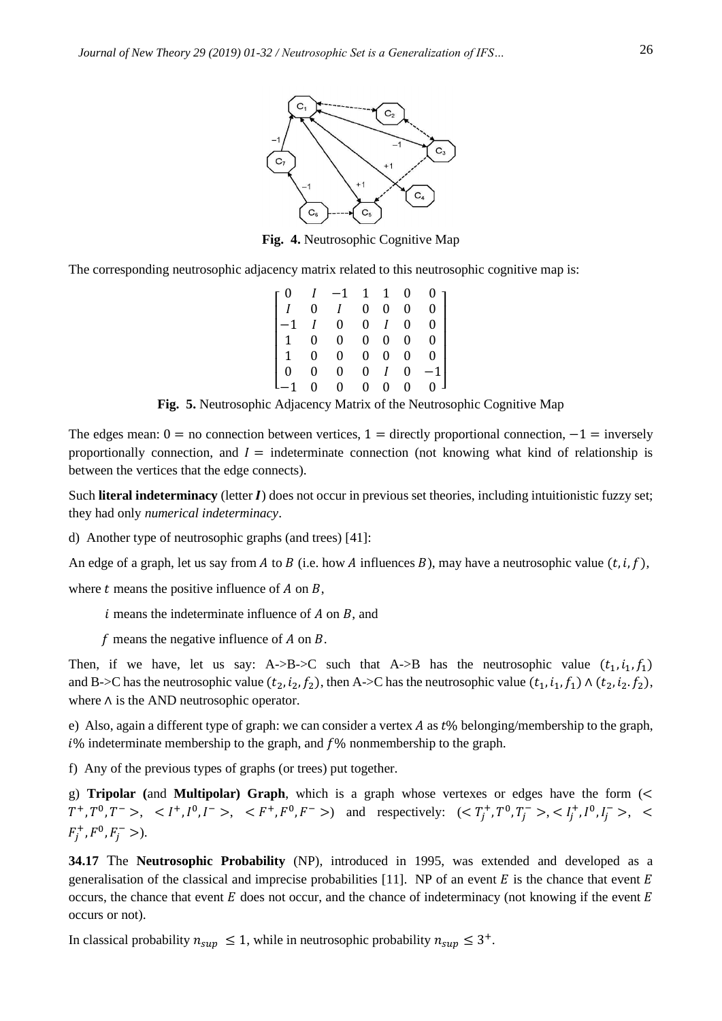

**Fig. 4.** Neutrosophic Cognitive Map

The corresponding neutrosophic adjacency matrix related to this neutrosophic cognitive map is:

 $\lfloor$ I I I I I I 0  $I$  -1 1 1 0 0 *I* 0 *I* 0 0 0 0 −1 0 0 0 0 1 0 0 0 0 0 0 1 0 0 0 0 0 0 0 0 0 0 0 0 0  $-1$ −1 0 0 0 0 0 0 ] I  $\overline{\phantom{a}}$  $\overline{\phantom{a}}$  $\overline{\phantom{a}}$  $\overline{\phantom{a}}$ I

**Fig. 5.** Neutrosophic Adjacency Matrix of the Neutrosophic Cognitive Map

The edges mean:  $0 =$  no connection between vertices,  $1 =$  directly proportional connection,  $-1 =$  inversely proportionally connection, and  $I =$  indeterminate connection (not knowing what kind of relationship is between the vertices that the edge connects).

Such **literal indeterminacy** (letter I) does not occur in previous set theories, including intuitionistic fuzzy set; they had only *numerical indeterminacy*.

d) Another type of neutrosophic graphs (and trees) [41]:

An edge of a graph, let us say from A to B (i.e. how A influences B), may have a neutrosophic value  $(t, i, f)$ ,

where  $t$  means the positive influence of  $A$  on  $B$ ,

 $i$  means the indeterminate influence of  $A$  on  $B$ , and

f means the negative influence of  $A$  on  $B$ .

Then, if we have, let us say: A->B->C such that A->B has the neutrosophic value  $(t_1, i_1, f_1)$ and B->C has the neutrosophic value  $(t_2, i_2, f_2)$ , then A->C has the neutrosophic value  $(t_1, i_1, f_1) \wedge (t_2, i_2, f_2)$ , where ∧ is the AND neutrosophic operator.

e) Also, again a different type of graph: we can consider a vertex A as  $t\%$  belonging/membership to the graph,  $i\%$  indeterminate membership to the graph, and  $f\%$  nonmembership to the graph.

f) Any of the previous types of graphs (or trees) put together.

g) **Tripolar (**and **Multipolar) Graph**, which is a graph whose vertexes or edges have the form (<  $T^+, T^0, T^-$ ,  $\langle I^+, I^0, I^- \rangle, \langle F^+, F^0, F^- \rangle$  and respectively:  $\langle \langle T_j^+, T^0, T_j^- \rangle, \langle I_j^+, I^0, I_j^- \rangle, \langle I_j^-, I_j^0, I_j^- \rangle, \langle I_j^-, I_j^0, I_j^- \rangle, \langle I_j^-, I_j^0, I_j^- \rangle$  $F_j^+, F^0, F_j^-$  >).

**34.17** The **Neutrosophic Probability** (NP), introduced in 1995, was extended and developed as a generalisation of the classical and imprecise probabilities [11]. NP of an event  $E$  is the chance that event  $E$ occurs, the chance that event  $E$  does not occur, and the chance of indeterminacy (not knowing if the event  $E$ occurs or not).

In classical probability  $n_{sup} \leq 1$ , while in neutrosophic probability  $n_{sup} \leq 3^+$ .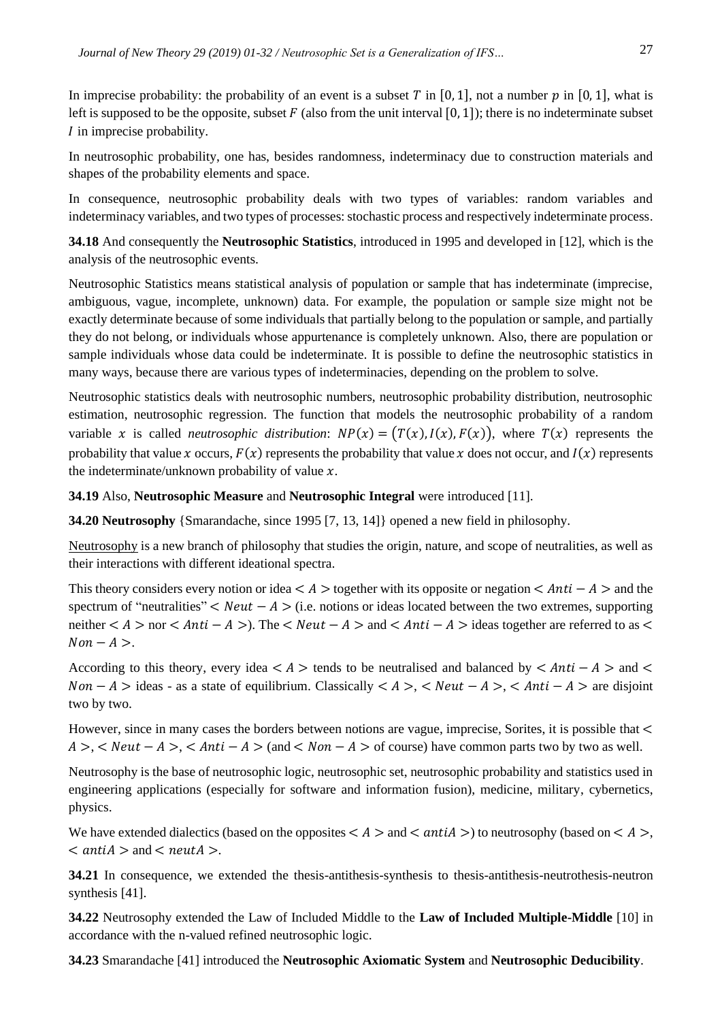In imprecise probability: the probability of an event is a subset T in [0, 1], not a number p in [0, 1], what is left is supposed to be the opposite, subset  $F$  (also from the unit interval [0, 1]); there is no indeterminate subset  $I$  in imprecise probability.

In neutrosophic probability, one has, besides randomness, indeterminacy due to construction materials and shapes of the probability elements and space.

In consequence, neutrosophic probability deals with two types of variables: random variables and indeterminacy variables, and two types of processes: stochastic process and respectively indeterminate process.

**34.18** And consequently the **Neutrosophic Statistics**, introduced in 1995 and developed in [12], which is the analysis of the neutrosophic events.

Neutrosophic Statistics means statistical analysis of population or sample that has indeterminate (imprecise, ambiguous, vague, incomplete, unknown) data. For example, the population or sample size might not be exactly determinate because of some individuals that partially belong to the population or sample, and partially they do not belong, or individuals whose appurtenance is completely unknown. Also, there are population or sample individuals whose data could be indeterminate. It is possible to define the neutrosophic statistics in many ways, because there are various types of indeterminacies, depending on the problem to solve.

Neutrosophic statistics deals with neutrosophic numbers, neutrosophic probability distribution, neutrosophic estimation, neutrosophic regression. The function that models the neutrosophic probability of a random variable x is called *neutrosophic distribution*:  $NP(x) = (T(x), I(x), F(x))$ , where  $T(x)$  represents the probability that value x occurs,  $F(x)$  represents the probability that value x does not occur, and  $I(x)$  represents the indeterminate/unknown probability of value  $x$ .

**34.19** Also, **Neutrosophic Measure** and **Neutrosophic Integral** were introduced [11].

**34.20 Neutrosophy** {Smarandache, since 1995 [7, 13, 14]} opened a new field in philosophy.

Neutrosophy is a new branch of philosophy that studies the origin, nature, and scope of neutralities, as well as their interactions with different ideational spectra.

This theory considers every notion or idea  $\lt A$  > together with its opposite or negation  $\lt Anti - A >$  and the spectrum of "neutralities"  $\langle Neut - A \rangle$  (i.e. notions or ideas located between the two extremes, supporting neither  $\langle A \rangle$  nor  $\langle Anti - A \rangle$ . The  $\langle Neut - A \rangle$  and  $\langle Anti - A \rangle$  ideas together are referred to as  $\langle A \rangle$  $Non - A >$ .

According to this theory, every idea  $\lt A$  > tends to be neutralised and balanced by  $\lt Anti - A >$  and  $\lt$  $Non - A > ideas - as a state of equilibrium. Classically  $\langle A \rangle$ ,  $\langle Neut - A \rangle$ ,  $\langle Anti - A \rangle$  are disjoint$ two by two.

However, since in many cases the borders between notions are vague, imprecise, Sorites, it is possible that <  $A > A > A$ ret  $-A > A$  and  $A > A$  and  $A > A$  of course) have common parts two by two as well.

Neutrosophy is the base of neutrosophic logic, neutrosophic set, neutrosophic probability and statistics used in engineering applications (especially for software and information fusion), medicine, military, cybernetics, physics.

We have extended dialectics (based on the opposites  $\lt A >$  and  $\lt antiA >$ ) to neutrosophy (based on  $\lt A >$ ,  $\langle$  antiA  $>$  and  $\langle$  neutA  $>$ .

**34.21** In consequence, we extended the thesis-antithesis-synthesis to thesis-antithesis-neutrothesis-neutron synthesis [41].

**34.22** Neutrosophy extended the Law of Included Middle to the **Law of Included Multiple-Middle** [10] in accordance with the n-valued refined neutrosophic logic.

**34.23** Smarandache [41] introduced the **Neutrosophic Axiomatic System** and **Neutrosophic Deducibility**.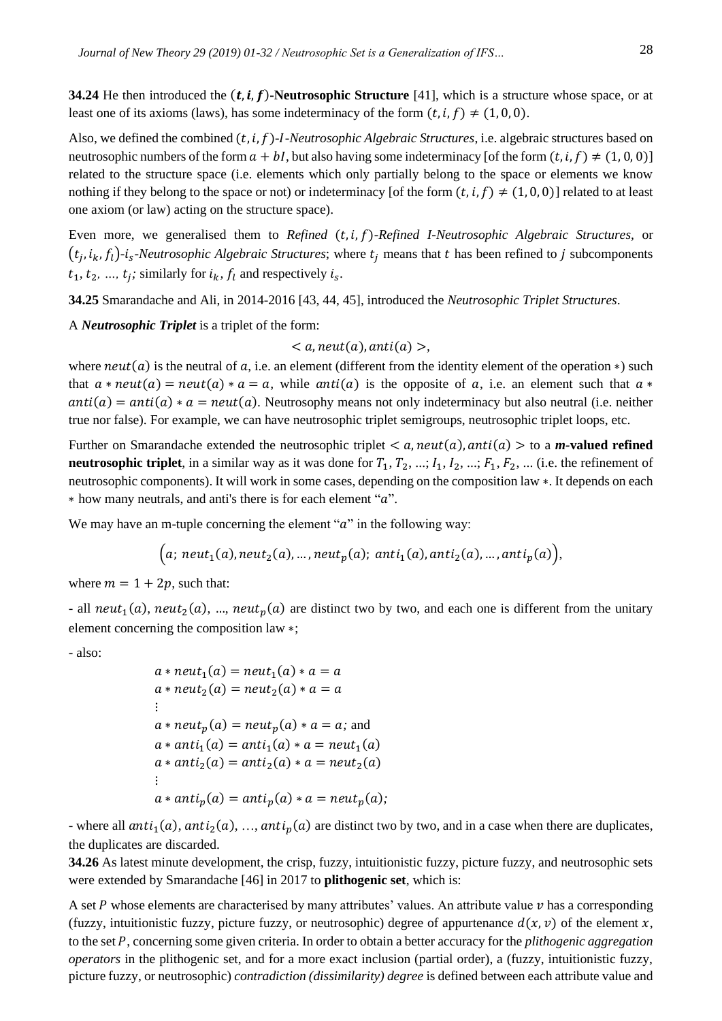**34.24** He then introduced the  $(t, i, f)$ -Neutrosophic Structure [41], which is a structure whose space, or at least one of its axioms (laws), has some indeterminacy of the form  $(t, i, f) \neq (1, 0, 0)$ .

Also, we defined the combined  $(t, i, f)$ -*I-Neutrosophic Algebraic Structures*, i.e. algebraic structures based on neutrosophic numbers of the form  $a + bI$ , but also having some indeterminacy [of the form  $(t, i, f) \neq (1, 0, 0)$ ] related to the structure space (i.e. elements which only partially belong to the space or elements we know nothing if they belong to the space or not) or indeterminacy [of the form  $(t, i, f) \neq (1, 0, 0)$ ] related to at least one axiom (or law) acting on the structure space).

Even more, we generalised them to *Refined* (t, i, f)-Refined I-Neutrosophic Algebraic Structures, or  $(t_j, i_k, f_l)$ -*i<sub>s</sub>*-Neutrosophic Algebraic Structures; where  $t_j$  means that t has been refined to j subcomponents  $t_1, t_2, ..., t_j$ ; similarly for  $i_k, f_l$  and respectively  $i_s$ .

**34.25** Smarandache and Ali, in 2014-2016 [43, 44, 45], introduced the *Neutrosophic Triplet Structures*.

A *Neutrosophic Triplet* is a triplet of the form:

 $\langle a, \text{neut}(a), \text{anti}(a) \rangle$ 

where  $neut(a)$  is the neutral of a, i.e. an element (different from the identity element of the operation  $*$ ) such that  $a * neut(a) = neut(a) * a = a$ , while anti(a) is the opposite of a, i.e. an element such that  $a *$  $anti(a) = anti(a) * a = neut(a)$ . Neutrosophy means not only indeterminacy but also neutral (i.e. neither true nor false). For example, we can have neutrosophic triplet semigroups, neutrosophic triplet loops, etc.

Further on Smarandache extended the neutrosophic triplet  $\lt a$ , neut(a), anti(a)  $>$  to a **m-valued refined neutrosophic triplet**, in a similar way as it was done for  $T_1, T_2, ..., I_1, I_2, ..., F_1, F_2, ...$  (i.e. the refinement of neutrosophic components). It will work in some cases, depending on the composition law ∗. It depends on each  $*$  how many neutrals, and anti's there is for each element " $a$ ".

We may have an m-tuple concerning the element " $a$ " in the following way:

$$
(a; neut1(a), neut2(a), ..., neutp(a); anti1(a), anti2(a), ..., antip(a)),
$$

where  $m = 1 + 2p$ , such that:

- all neut<sub>1</sub>(a), neut<sub>2</sub>(a), ..., neut<sub>p</sub>(a) are distinct two by two, and each one is different from the unitary element concerning the composition law ∗;

- also:

$$
a * neut1(a) = neut1(a) * a = a
$$
  
\n
$$
a * neut2(a) = neut2(a) * a = a
$$
  
\n
$$
\vdots
$$
  
\n
$$
a * neutp(a) = neutp(a) * a = a; and
$$
  
\n
$$
a * anti1(a) = anti1(a) * a = neut1(a)
$$
  
\n
$$
a * anti2(a) = anti2(a) * a = neut2(a)
$$
  
\n
$$
\vdots
$$
  
\n
$$
a * antip(a) = antip(a) * a = neutp(a);
$$

- where all  $anti_1(a)$ ,  $anti_2(a)$ , ...,  $anti_p(a)$  are distinct two by two, and in a case when there are duplicates, the duplicates are discarded.

**34.26** As latest minute development, the crisp, fuzzy, intuitionistic fuzzy, picture fuzzy, and neutrosophic sets were extended by Smarandache [46] in 2017 to **plithogenic set**, which is:

A set P whose elements are characterised by many attributes' values. An attribute value  $\nu$  has a corresponding (fuzzy, intuitionistic fuzzy, picture fuzzy, or neutrosophic) degree of appurtenance  $d(x, v)$  of the element x, to the set P, concerning some given criteria. In order to obtain a better accuracy for the *plithogenic aggregation operators* in the plithogenic set, and for a more exact inclusion (partial order), a (fuzzy, intuitionistic fuzzy, picture fuzzy, or neutrosophic) *contradiction (dissimilarity) degree* is defined between each attribute value and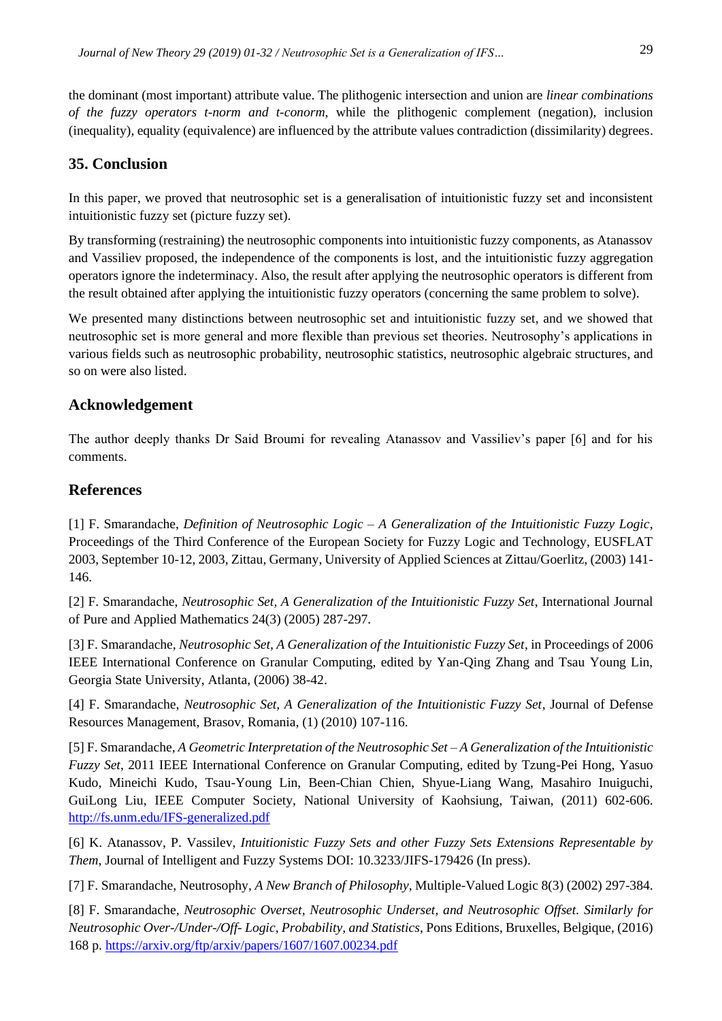the dominant (most important) attribute value. The plithogenic intersection and union are *linear combinations of the fuzzy operators t-norm and t-conorm*, while the plithogenic complement (negation), inclusion (inequality), equality (equivalence) are influenced by the attribute values contradiction (dissimilarity) degrees.

## **35. Conclusion**

In this paper, we proved that neutrosophic set is a generalisation of intuitionistic fuzzy set and inconsistent intuitionistic fuzzy set (picture fuzzy set).

By transforming (restraining) the neutrosophic components into intuitionistic fuzzy components, as Atanassov and Vassiliev proposed, the independence of the components is lost, and the intuitionistic fuzzy aggregation operators ignore the indeterminacy. Also, the result after applying the neutrosophic operators is different from the result obtained after applying the intuitionistic fuzzy operators (concerning the same problem to solve).

We presented many distinctions between neutrosophic set and intuitionistic fuzzy set, and we showed that neutrosophic set is more general and more flexible than previous set theories. Neutrosophy's applications in various fields such as neutrosophic probability, neutrosophic statistics, neutrosophic algebraic structures, and so on were also listed.

## **Acknowledgement**

The author deeply thanks Dr Said Broumi for revealing Atanassov and Vassiliev's paper [6] and for his comments.

## **References**

[1] F. Smarandache, *Definition of Neutrosophic Logic – A Generalization of the Intuitionistic Fuzzy Logic*, Proceedings of the Third Conference of the European Society for Fuzzy Logic and Technology, EUSFLAT 2003, September 10-12, 2003, Zittau, Germany, University of Applied Sciences at Zittau/Goerlitz, (2003) 141- 146.

[2] F. Smarandache, *Neutrosophic Set, A Generalization of the Intuitionistic Fuzzy Set*, International Journal of Pure and Applied Mathematics 24(3) (2005) 287-297.

[3] F. Smarandache, *Neutrosophic Set, A Generalization of the Intuitionistic Fuzzy Set*, in Proceedings of 2006 IEEE International Conference on Granular Computing, edited by Yan-Qing Zhang and Tsau Young Lin, Georgia State University, Atlanta, (2006) 38-42.

[4] F. Smarandache, *Neutrosophic Set, A Generalization of the Intuitionistic Fuzzy Set*, Journal of Defense Resources Management, Brasov, Romania, (1) (2010) 107-116.

[5] F. Smarandache, *A Geometric Interpretation of the Neutrosophic Set – A Generalization of the Intuitionistic Fuzzy Set*, 2011 IEEE International Conference on Granular Computing, edited by Tzung-Pei Hong, Yasuo Kudo, Mineichi Kudo, Tsau-Young Lin, Been-Chian Chien, Shyue-Liang Wang, Masahiro Inuiguchi, GuiLong Liu, IEEE Computer Society, National University of Kaohsiung, Taiwan, (2011) 602-606. <http://fs.unm.edu/IFS-generalized.pdf>

[6] K. Atanassov, P. Vassilev, *Intuitionistic Fuzzy Sets and other Fuzzy Sets Extensions Representable by Them*, Journal of Intelligent and Fuzzy Systems DOI: 10.3233/JIFS-179426 (In press).

[7] F. Smarandache, Neutrosophy, *A New Branch of Philosophy*, Multiple-Valued Logic 8(3) (2002) 297-384.

[8] F. Smarandache, *Neutrosophic Overset, Neutrosophic Underset, and Neutrosophic Offset. Similarly for Neutrosophic Over-/Under-/Off- Logic, Probability, and Statistics*, Pons Editions, Bruxelles, Belgique, (2016) 168 p.<https://arxiv.org/ftp/arxiv/papers/1607/1607.00234.pdf>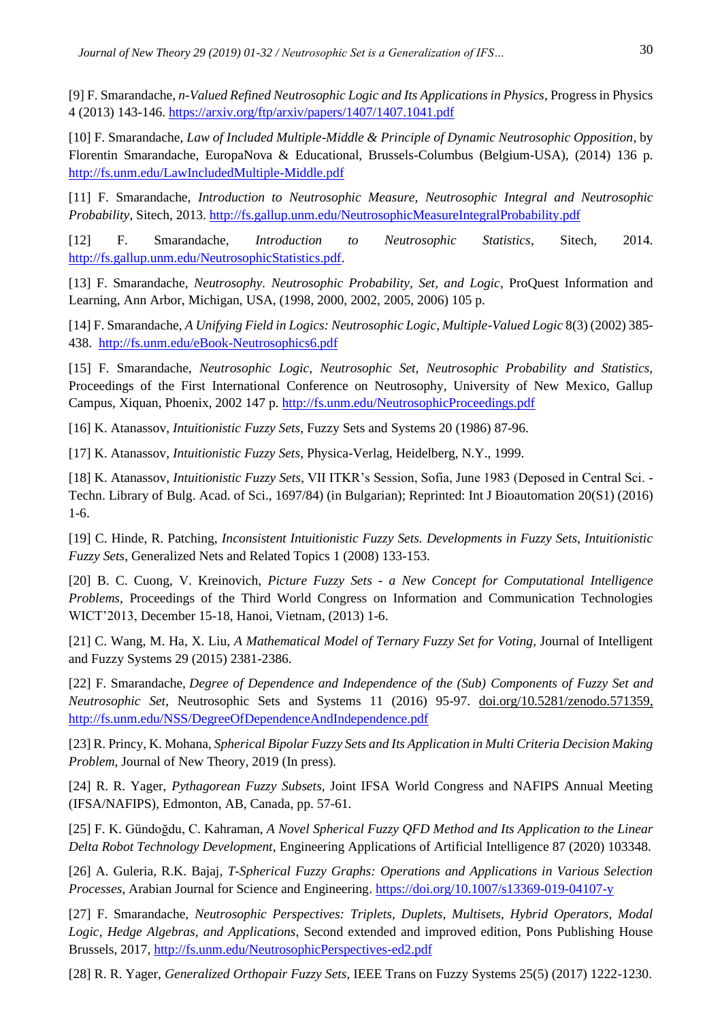[9] F. Smarandache, *n-Valued Refined Neutrosophic Logic and Its Applications in Physics*, Progress in Physics 4 (2013) 143-146. <https://arxiv.org/ftp/arxiv/papers/1407/1407.1041.pdf>

[10] F. Smarandache, *Law of Included Multiple-Middle & Principle of Dynamic Neutrosophic Opposition*, by Florentin Smarandache, EuropaNova & Educational, Brussels-Columbus (Belgium-USA), (2014) 136 p. <http://fs.unm.edu/LawIncludedMultiple-Middle.pdf>

[11] F. Smarandache, *Introduction to Neutrosophic Measure, Neutrosophic Integral and Neutrosophic Probability*, Sitech, 2013.<http://fs.gallup.unm.edu/NeutrosophicMeasureIntegralProbability.pdf>

[12] F. Smarandache, *Introduction to Neutrosophic Statistics*, Sitech, 2014. [http://fs.gallup.unm.edu/NeutrosophicStatistics.pdf.](http://fs.gallup.unm.edu/NeutrosophicStatistics.pdf)

[13] F. Smarandache, *Neutrosophy. Neutrosophic Probability, Set, and Logic*, ProQuest Information and Learning, Ann Arbor, Michigan, USA, (1998, 2000, 2002, 2005, 2006) 105 p.

[14] F. Smarandache, *A Unifying Field in Logics: Neutrosophic Logic, Multiple-Valued Logic* 8(3) (2002) 385- 438. <http://fs.unm.edu/eBook-Neutrosophics6.pdf>

[15] F. Smarandache, *Neutrosophic Logic, Neutrosophic Set, Neutrosophic Probability and Statistics,*  Proceedings of the First International Conference on Neutrosophy, University of New Mexico, Gallup Campus, Xiquan, Phoenix, 2002 147 p.<http://fs.unm.edu/NeutrosophicProceedings.pdf>

[16] K. Atanassov, *Intuitionistic Fuzzy Sets*, Fuzzy Sets and Systems 20 (1986) 87-96.

[17] K. Atanassov, *Intuitionistic Fuzzy Sets*, Physica-Verlag, Heidelberg, N.Y., 1999.

[18] K. Atanassov, *Intuitionistic Fuzzy Sets*, VII ITKR's Session, Sofia, June 1983 (Deposed in Central Sci. - Techn. Library of Bulg. Acad. of Sci., 1697/84) (in Bulgarian); Reprinted: Int J Bioautomation 20(S1) (2016) 1-6.

[19] C. Hinde, R. Patching, *Inconsistent Intuitionistic Fuzzy Sets. Developments in Fuzzy Sets, Intuitionistic Fuzzy Sets*, Generalized Nets and Related Topics 1 (2008) 133-153.

[20] B. C. Cuong, V. Kreinovich, *Picture Fuzzy Sets - a New Concept for Computational Intelligence Problems*, Proceedings of the Third World Congress on Information and Communication Technologies WICT'2013, December 15-18, Hanoi, Vietnam, (2013) 1-6.

[21] C. Wang, M. Ha, X. Liu, *A Mathematical Model of Ternary Fuzzy Set for Voting*, Journal of Intelligent and Fuzzy Systems 29 (2015) 2381-2386.

[22] F. Smarandache, *[Degree of Dependence and Independence of the \(Sub\)](http://fs.unm.edu/NSS/DegreeOfDependenceAndIndependence.pdf) Components of Fuzzy Set and Neutrosophic Set*[, Neutrosophic Sets and Systems](http://fs.unm.edu/NSS/DegreeOfDependenceAndIndependence.pdf) 11 (2016) 95-97. [doi.org/10.5281/zenodo.571359,](https://doi.org/10.5281/zenodo.571359) <http://fs.unm.edu/NSS/DegreeOfDependenceAndIndependence.pdf>

[23] R. Princy, K. Mohana, *Spherical Bipolar Fuzzy Sets and Its Application in Multi Criteria Decision Making Problem*, Journal of New Theory, 2019 (In press).

[24] R. R. Yager, *Pythagorean Fuzzy Subsets*, Joint IFSA World Congress and NAFIPS Annual Meeting (IFSA/NAFIPS), Edmonton, AB, Canada, pp. 57-61.

[25] F. K. Gündoğdu, C. Kahraman, *A Novel Spherical Fuzzy QFD Method and Its Application to the Linear Delta Robot Technology Development*, Engineering Applications of Artificial Intelligence 87 (2020) 103348.

[26] A. Guleria, R.K. Bajaj, *T-Spherical Fuzzy Graphs: Operations and Applications in Various Selection Processes*, Arabian Journal for Science and Engineering. <https://doi.org/10.1007/s13369-019-04107-y>

[27] F. Smarandache, *Neutrosophic Perspectives: Triplets, Duplets, Multisets, Hybrid Operators, Modal Logic, Hedge Algebras, and Applications*, Second extended and improved edition, Pons Publishing House Brussels, 2017,<http://fs.unm.edu/NeutrosophicPerspectives-ed2.pdf>

[28] R. R. Yager, *Generalized Orthopair Fuzzy Sets*, IEEE Trans on Fuzzy Systems 25(5) (2017) 1222-1230.